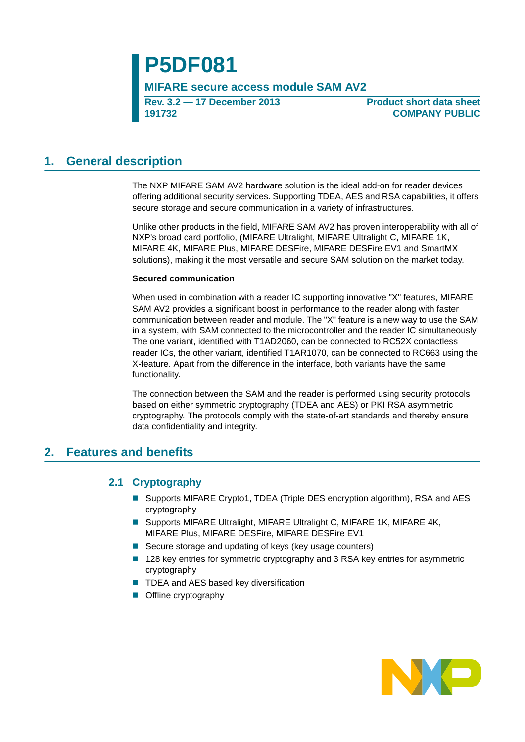# **P5DF081**

**MIFARE secure access module SAM AV2**

**Rev. 3.2 — 17 December 2013 191732**

**Product short data sheet COMPANY PUBLIC**

## <span id="page-0-0"></span>**1. General description**

The NXP MIFARE SAM AV2 hardware solution is the ideal add-on for reader devices offering additional security services. Supporting TDEA, AES and RSA capabilities, it offers secure storage and secure communication in a variety of infrastructures.

Unlike other products in the field, MIFARE SAM AV2 has proven interoperability with all of NXP's broad card portfolio, (MIFARE Ultralight, MIFARE Ultralight C, MIFARE 1K, MIFARE 4K, MIFARE Plus, MIFARE DESFire, MIFARE DESFire EV1 and SmartMX solutions), making it the most versatile and secure SAM solution on the market today.

#### **Secured communication**

When used in combination with a reader IC supporting innovative "X" features, MIFARE SAM AV2 provides a significant boost in performance to the reader along with faster communication between reader and module. The "X" feature is a new way to use the SAM in a system, with SAM connected to the microcontroller and the reader IC simultaneously. The one variant, identified with T1AD2060, can be connected to RC52X contactless reader ICs, the other variant, identified T1AR1070, can be connected to RC663 using the X-feature. Apart from the difference in the interface, both variants have the same functionality.

The connection between the SAM and the reader is performed using security protocols based on either symmetric cryptography (TDEA and AES) or PKI RSA asymmetric cryptography. The protocols comply with the state-of-art standards and thereby ensure data confidentiality and integrity.

## <span id="page-0-2"></span><span id="page-0-1"></span>**2. Features and benefits**

### **2.1 Cryptography**

- Supports MIFARE Crypto1, TDEA (Triple DES encryption algorithm), RSA and AES cryptography
- Supports MIFARE Ultralight, MIFARE Ultralight C, MIFARE 1K, MIFARE 4K, MIFARE Plus, MIFARE DESFire, MIFARE DESFire EV1
- Secure storage and updating of keys (key usage counters)
- 128 key entries for symmetric cryptography and 3 RSA key entries for asymmetric cryptography
- TDEA and AES based key diversification
- **Offline cryptography**

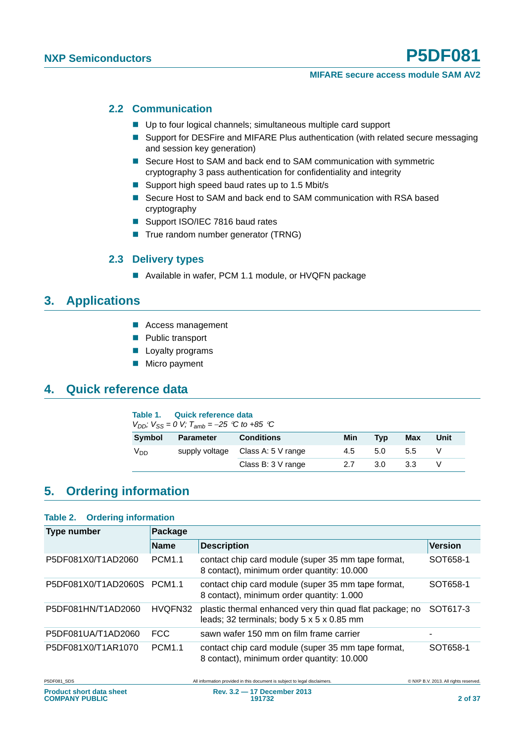#### <span id="page-1-2"></span>**2.2 Communication**

- Up to four logical channels; simultaneous multiple card support
- **Support for DESFire and MIFARE Plus authentication (with related secure messaging** and session key generation)
- Secure Host to SAM and back end to SAM communication with symmetric cryptography 3 pass authentication for confidentiality and integrity
- Support high speed baud rates up to 1.5 Mbit/s
- Secure Host to SAM and back end to SAM communication with RSA based cryptography
- Support ISO/IEC 7816 baud rates
- True random number generator (TRNG)

#### **2.3 Delivery types**

■ Available in wafer, PCM 1.1 module, or HVQFN package

## <span id="page-1-4"></span><span id="page-1-3"></span>**3. Applications**

- Access management
- **Public transport**
- **Loyalty programs**
- **Micro payment**

## <span id="page-1-5"></span>**4. Quick reference data**

#### <span id="page-1-0"></span>**Table 1. Quick reference data**

*V<sub>DD</sub>*;  $V_{SS} = 0$  *V*;  $T_{amb} = -25$  <sup>*C*</sup> *to* +85 <sup>*C*</sup>

| <b>Symbol</b>   | <b>Parameter</b> | <b>Conditions</b>                 | Min | Tvp | Max | Unit |
|-----------------|------------------|-----------------------------------|-----|-----|-----|------|
| V <sub>DD</sub> |                  | supply voltage Class A: 5 V range | 4.5 | 5.0 | 5.5 |      |
|                 |                  | Class B: 3 V range                | 27  | 3.0 | 3.3 |      |

## <span id="page-1-6"></span>**5. Ordering information**

#### <span id="page-1-1"></span>**Table 2. Ordering information**

| <b>Type number</b>  | Package       |                                                                                                                   |                |  |  |  |
|---------------------|---------------|-------------------------------------------------------------------------------------------------------------------|----------------|--|--|--|
|                     | <b>Name</b>   | <b>Description</b>                                                                                                | <b>Version</b> |  |  |  |
| P5DF081X0/T1AD2060  | <b>PCM1.1</b> | contact chip card module (super 35 mm tape format,<br>8 contact), minimum order quantity: 10.000                  | SOT658-1       |  |  |  |
| P5DF081X0/T1AD2060S | <b>PCM1.1</b> | contact chip card module (super 35 mm tape format,<br>8 contact), minimum order quantity: 1.000                   | SOT658-1       |  |  |  |
| P5DF081HN/T1AD2060  | HVQFN32       | plastic thermal enhanced very thin quad flat package; no<br>leads; 32 terminals; body $5 \times 5 \times 0.85$ mm | SOT617-3       |  |  |  |
| P5DF081UA/T1AD2060  | FCC.          | sawn wafer 150 mm on film frame carrier                                                                           |                |  |  |  |
| P5DF081X0/T1AR1070  | <b>PCM1.1</b> | contact chip card module (super 35 mm tape format,<br>8 contact), minimum order quantity: 10.000                  | SOT658-1       |  |  |  |

P5DF081\_SDS PERSON All information provided in this document is subject to legal disclaimers. 
PERSON ALL TONS TRIGHTS RESERVED.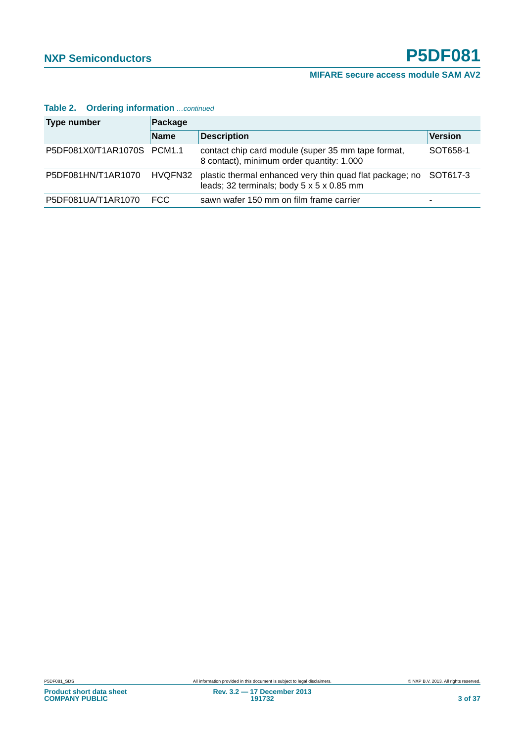| <b>Type number</b>         | Package     |                                                                                                                |                |  |  |  |
|----------------------------|-------------|----------------------------------------------------------------------------------------------------------------|----------------|--|--|--|
|                            | <b>Name</b> | <b>Description</b>                                                                                             | <b>Version</b> |  |  |  |
| P5DF081X0/T1AR1070S PCM1.1 |             | contact chip card module (super 35 mm tape format,<br>8 contact), minimum order quantity: 1.000                | SOT658-1       |  |  |  |
| P5DF081HN/T1AR1070         | HVQFN32     | plastic thermal enhanced very thin quad flat package; no SOT617-3<br>leads; 32 terminals; body 5 x 5 x 0.85 mm |                |  |  |  |
| P5DF081UA/T1AR1070         | FCC.        | sawn wafer 150 mm on film frame carrier                                                                        | -              |  |  |  |

#### **Table 2. Ordering information** *…continued*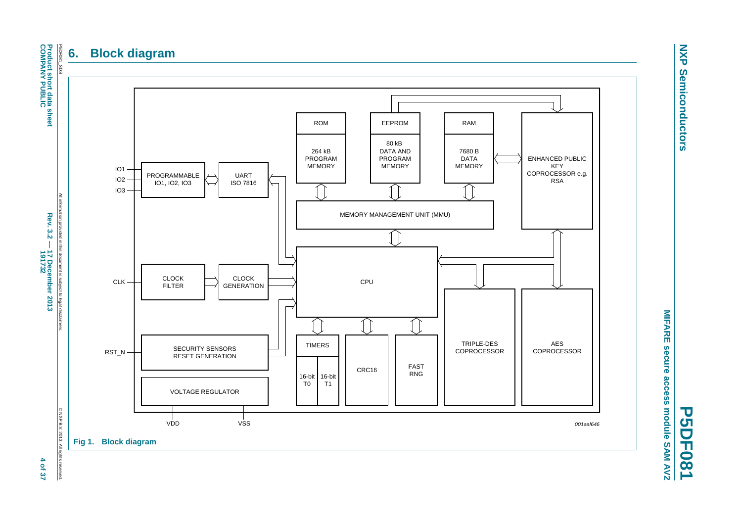## **6. Block diagram**



**NXP NXP Semiconductors Semiconductors** 

**P5DF081**

**MIFARE secure access module SAM AV2**

MIFARE secure access module SAM AV2

<span id="page-3-1"></span><span id="page-3-0"></span>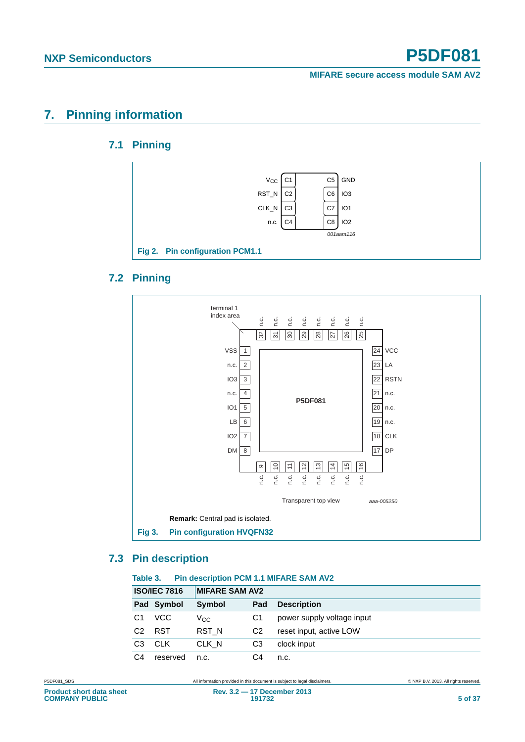**MIFARE secure access module SAM AV2**

## <span id="page-4-4"></span><span id="page-4-3"></span>**7. Pinning information**

## **7.1 Pinning**



### <span id="page-4-5"></span><span id="page-4-2"></span>**7.2 Pinning**



## <span id="page-4-6"></span><span id="page-4-0"></span>**7.3 Pin description**

#### <span id="page-4-1"></span>**Table 3. Pin description PCM 1.1 MIFARE SAM AV2**

| <b>ISO/IEC 7816</b> |            | <b>MIFARE SAM AV2</b> |                |                            |
|---------------------|------------|-----------------------|----------------|----------------------------|
|                     | Pad Symbol | Symbol                | Pad            | <b>Description</b>         |
| C1                  | VCC        | $V_{\rm CC}$          | C1             | power supply voltage input |
| C <sub>2</sub>      | <b>RST</b> | RST <sub>N</sub>      | C <sub>2</sub> | reset input, active LOW    |
| C <sub>3</sub>      | <b>CLK</b> | CLK N                 | CЗ             | clock input                |
| C4                  | reserved   | n.c.                  | C4             | n.c.                       |

P5DF081\_SDS **All information provided in this document** is subject to legal disclaimers. **CONSICIAL CONSICIAL CONSICIAL CONSICIAL CONSICUTER**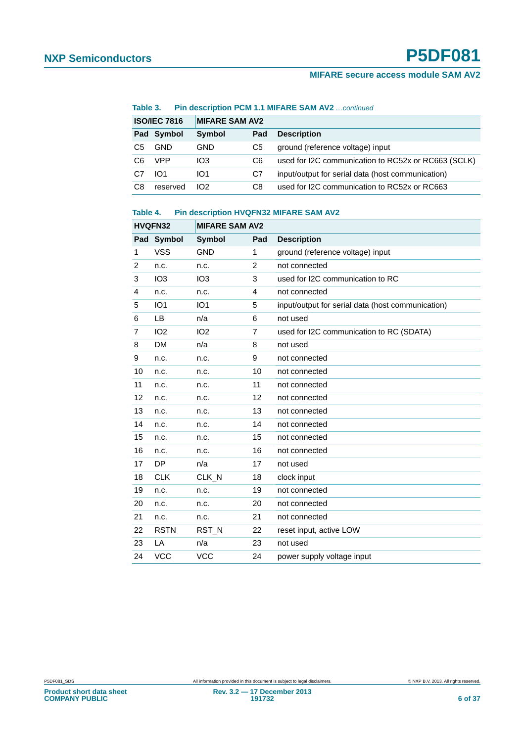#### **Table 3. Pin description PCM 1.1 MIFARE SAM AV2** *…continued*

| <b>ISO/IEC 7816</b> |            | <b>MIFARE SAM AV2</b> |     |                                                     |
|---------------------|------------|-----------------------|-----|-----------------------------------------------------|
|                     | Pad Symbol | Symbol                | Pad | <b>Description</b>                                  |
| C5                  | <b>GND</b> | GND                   | C5  | ground (reference voltage) input                    |
| C6                  | <b>VPP</b> | IO <sub>3</sub>       | C6  | used for I2C communication to RC52x or RC663 (SCLK) |
| C7                  | IO1        | IO <sub>1</sub>       | C7  | input/output for serial data (host communication)   |
| C8                  | reserved   | 102                   | C8  | used for I2C communication to RC52x or RC663        |

#### <span id="page-5-0"></span>**Table 4. Pin description HVQFN32 MIFARE SAM AV2**

|                | HVQFN32         | <b>MIFARE SAM AV2</b> |     |                                                   |
|----------------|-----------------|-----------------------|-----|---------------------------------------------------|
| Pad            | Symbol          | Symbol                | Pad | <b>Description</b>                                |
| 1              | <b>VSS</b>      | <b>GND</b>            | 1   | ground (reference voltage) input                  |
| 2              | n.c.            | n.c.                  | 2   | not connected                                     |
| 3              | IO <sub>3</sub> | IO <sub>3</sub>       | 3   | used for I2C communication to RC                  |
| 4              | n.c.            | n.c.                  | 4   | not connected                                     |
| 5              | IO <sub>1</sub> | IO <sub>1</sub>       | 5   | input/output for serial data (host communication) |
| 6              | <b>LB</b>       | n/a                   | 6   | not used                                          |
| $\overline{7}$ | IO <sub>2</sub> | IO <sub>2</sub>       | 7   | used for I2C communication to RC (SDATA)          |
| 8              | <b>DM</b>       | n/a                   | 8   | not used                                          |
| 9              | n.c.            | n.c.                  | 9   | not connected                                     |
| 10             | n.c.            | n.c.                  | 10  | not connected                                     |
| 11             | n.c.            | n.c.                  | 11  | not connected                                     |
| 12             | n.c.            | n.c.                  | 12  | not connected                                     |
| 13             | n.c.            | n.c.                  | 13  | not connected                                     |
| 14             | n.c.            | n.c.                  | 14  | not connected                                     |
| 15             | n.c.            | n.c.                  | 15  | not connected                                     |
| 16             | n.c.            | n.c.                  | 16  | not connected                                     |
| 17             | <b>DP</b>       | n/a                   | 17  | not used                                          |
| 18             | <b>CLK</b>      | CLK_N                 | 18  | clock input                                       |
| 19             | n.c.            | n.c.                  | 19  | not connected                                     |
| 20             | n.c.            | n.c.                  | 20  | not connected                                     |
| 21             | n.c.            | n.c.                  | 21  | not connected                                     |
| 22             | <b>RSTN</b>     | RST_N                 | 22  | reset input, active LOW                           |
| 23             | LA              | n/a                   | 23  | not used                                          |
| 24             | <b>VCC</b>      | <b>VCC</b>            | 24  | power supply voltage input                        |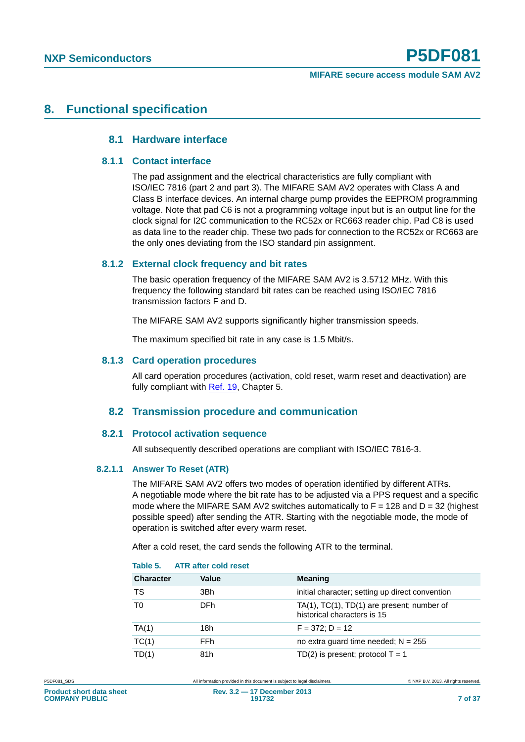## <span id="page-6-3"></span><span id="page-6-2"></span><span id="page-6-1"></span>**8. Functional specification**

#### **8.1 Hardware interface**

#### **8.1.1 Contact interface**

The pad assignment and the electrical characteristics are fully compliant with ISO/IEC 7816 (part 2 and part 3). The MIFARE SAM AV2 operates with Class A and Class B interface devices. An internal charge pump provides the EEPROM programming voltage. Note that pad C6 is not a programming voltage input but is an output line for the clock signal for I2C communication to the RC52x or RC663 reader chip. Pad C8 is used as data line to the reader chip. These two pads for connection to the RC52x or RC663 are the only ones deviating from the ISO standard pin assignment.

#### <span id="page-6-4"></span>**8.1.2 External clock frequency and bit rates**

The basic operation frequency of the MIFARE SAM AV2 is 3.5712 MHz. With this frequency the following standard bit rates can be reached using ISO/IEC 7816 transmission factors F and D.

The MIFARE SAM AV2 supports significantly higher transmission speeds.

The maximum specified bit rate in any case is 1.5 Mbit/s.

#### <span id="page-6-5"></span>**8.1.3 Card operation procedures**

All card operation procedures (activation, cold reset, warm reset and deactivation) are fully compliant with Ref. 19, Chapter 5.

#### **8.2 Transmission procedure and communication**

#### <span id="page-6-7"></span><span id="page-6-6"></span>**8.2.1 Protocol activation sequence**

All subsequently described operations are compliant with ISO/IEC 7816-3.

#### <span id="page-6-8"></span>**8.2.1.1 Answer To Reset (ATR)**

The MIFARE SAM AV2 offers two modes of operation identified by different ATRs. A negotiable mode where the bit rate has to be adjusted via a PPS request and a specific mode where the MIFARE SAM AV2 switches automatically to  $F = 128$  and  $D = 32$  (highest possible speed) after sending the ATR. Starting with the negotiable mode, the mode of operation is switched after every warm reset.

After a cold reset, the card sends the following ATR to the terminal.

|                  | AUN GILGI GON IGOGL |                                                                                      |
|------------------|---------------------|--------------------------------------------------------------------------------------|
| <b>Character</b> | Value               | <b>Meaning</b>                                                                       |
| TS               | 3Bh                 | initial character; setting up direct convention                                      |
| T0               | DFh.                | TA $(1)$ , TC $(1)$ , TD $(1)$ are present; number of<br>historical characters is 15 |
| TA(1)            | 18h                 | $F = 372$ : D = 12                                                                   |
| TC(1)            | FFh                 | no extra quard time needed; $N = 255$                                                |
| TD(1)            | 81h                 | TD(2) is present; protocol $T = 1$                                                   |

#### <span id="page-6-0"></span>**Table 5. ATR after cold reset**

**Product short data sheet COMPANY PUBLIC**

P5DF081\_SDS All information provided in this document is subject to legal disclaimers. © NXP B.V. 2013. All rights reserved.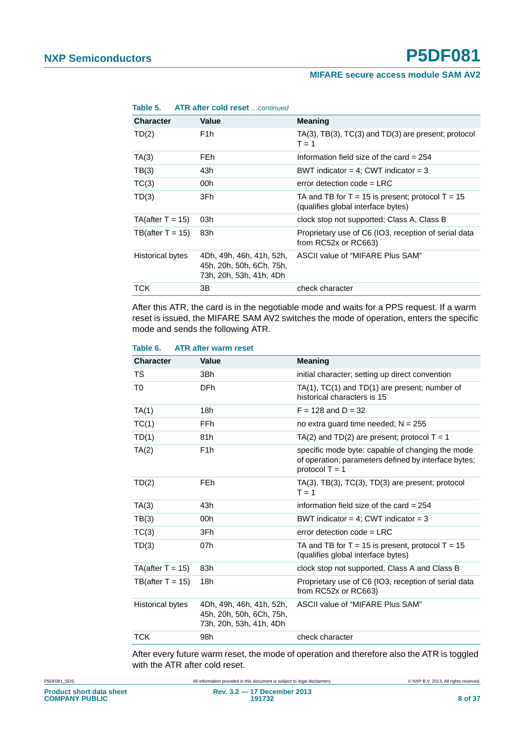#### **MIFARE secure access module SAM AV2**

| Table 5.               | <b>ATR after cold reset</b> continued                                           |                                                                                        |
|------------------------|---------------------------------------------------------------------------------|----------------------------------------------------------------------------------------|
| <b>Character</b>       | Value                                                                           | <b>Meaning</b>                                                                         |
| TD(2)                  | F <sub>1</sub> h                                                                | $TA(3)$ , $TB(3)$ , $TC(3)$ and $TD(3)$ are present; protocol<br>$T = 1$               |
| TA(3)                  | FE <sub>h</sub>                                                                 | Information field size of the card $= 254$                                             |
| TB(3)                  | 43h                                                                             | BWT indicator = 4; CWT indicator = 3                                                   |
| TC(3)                  | 00h                                                                             | error detection code $=$ LRC                                                           |
| TD(3)                  | 3Fh                                                                             | TA and TB for T = 15 is present; protocol T = 15<br>(qualifies global interface bytes) |
| $TA$ (after $T = 15$ ) | 03h                                                                             | clock stop not supported; Class A, Class B                                             |
| TB(after $T = 15$ )    | 83h                                                                             | Proprietary use of C6 (IO3, reception of serial data<br>from RC52x or RC663)           |
| Historical bytes       | 4Dh, 49h, 46h, 41h, 52h,<br>45h, 20h, 50h, 6Ch, 75h,<br>73h, 20h, 53h, 41h, 4Dh | ASCII value of "MIFARE Plus SAM"                                                       |
| TCK                    | 3B                                                                              | check character                                                                        |
|                        |                                                                                 |                                                                                        |

After this ATR, the card is in the negotiable mode and waits for a PPS request. If a warm reset is issued, the MIFARE SAM AV2 switches the mode of operation, enters the specific

#### <span id="page-7-0"></span>**Table 6. ATR after warm reset**

mode and sends the following ATR.

| <b>Character</b>       | <b>Value</b>                                                                    | <b>Meaning</b>                                                                                                               |
|------------------------|---------------------------------------------------------------------------------|------------------------------------------------------------------------------------------------------------------------------|
| TS.                    | 3Bh                                                                             | initial character; setting up direct convention                                                                              |
| T <sub>0</sub>         | <b>DFh</b>                                                                      | TA(1), TC(1) and TD(1) are present; number of<br>historical characters is 15                                                 |
| TA(1)                  | 18h                                                                             | $F = 128$ and $D = 32$                                                                                                       |
| TC(1)                  | FFh                                                                             | no extra quard time needed; $N = 255$                                                                                        |
| TD(1)                  | 81h                                                                             | TA(2) and TD(2) are present; protocol $T = 1$                                                                                |
| TA(2)                  | F <sub>1</sub> h                                                                | specific mode byte: capable of changing the mode<br>of operation; parameters defined by interface bytes;<br>protocol $T = 1$ |
| TD(2)                  | <b>FEh</b>                                                                      | $TA(3)$ , $TB(3)$ , $TC(3)$ , $TD(3)$ are present; protocol<br>$T = 1$                                                       |
| TA(3)                  | 43h                                                                             | information field size of the card $= 254$                                                                                   |
| TB(3)                  | 00h                                                                             | BWT indicator = 4; CWT indicator = $3$                                                                                       |
| TC(3)                  | 3Fh                                                                             | error detection $code = LRC$                                                                                                 |
| TD(3)                  | 07h                                                                             | TA and TB for $T = 15$ is present, protocol $T = 15$<br>(qualifies global interface bytes)                                   |
| $TA$ (after $T = 15$ ) | 83h                                                                             | clock stop not supported, Class A and Class B                                                                                |
| TB(after $T = 15$ )    | 18 <sub>h</sub>                                                                 | Proprietary use of C6 (IO3, reception of serial data<br>from RC52x or RC663)                                                 |
| Historical bytes       | 4Dh, 49h, 46h, 41h, 52h,<br>45h, 20h, 50h, 6Ch, 75h,<br>73h, 20h, 53h, 41h, 4Dh | ASCII value of "MIFARE Plus SAM"                                                                                             |
| <b>TCK</b>             | 98h                                                                             | check character                                                                                                              |

After every future warm reset, the mode of operation and therefore also the ATR is toggled with the ATR after cold reset.

P5DF081\_SDS All information provided in this document is subject to legal disclaimers. © NXP B.V. 2013. All rights reserved.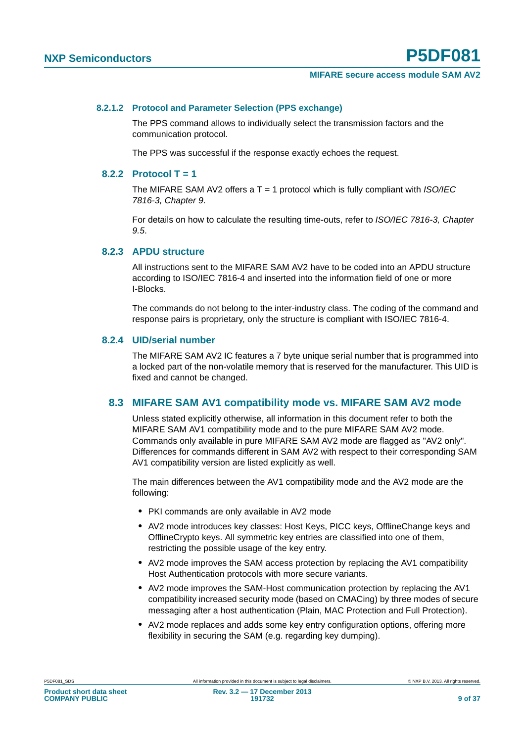#### <span id="page-8-0"></span>**8.2.1.2 Protocol and Parameter Selection (PPS exchange)**

The PPS command allows to individually select the transmission factors and the communication protocol.

The PPS was successful if the response exactly echoes the request.

#### <span id="page-8-1"></span>**8.2.2 Protocol T = 1**

The MIFARE SAM AV2 offers a T = 1 protocol which is fully compliant with *ISO/IEC 7816-3, Chapter 9*.

For details on how to calculate the resulting time-outs, refer to *ISO/IEC 7816-3, Chapter 9.5*.

#### <span id="page-8-2"></span>**8.2.3 APDU structure**

All instructions sent to the MIFARE SAM AV2 have to be coded into an APDU structure according to ISO/IEC 7816-4 and inserted into the information field of one or more I-Blocks.

The commands do not belong to the inter-industry class. The coding of the command and response pairs is proprietary, only the structure is compliant with ISO/IEC 7816-4.

#### <span id="page-8-3"></span>**8.2.4 UID/serial number**

The MIFARE SAM AV2 IC features a 7 byte unique serial number that is programmed into a locked part of the non-volatile memory that is reserved for the manufacturer. This UID is fixed and cannot be changed.

#### <span id="page-8-4"></span>**8.3 MIFARE SAM AV1 compatibility mode vs. MIFARE SAM AV2 mode**

Unless stated explicitly otherwise, all information in this document refer to both the MIFARE SAM AV1 compatibility mode and to the pure MIFARE SAM AV2 mode. Commands only available in pure MIFARE SAM AV2 mode are flagged as "AV2 only". Differences for commands different in SAM AV2 with respect to their corresponding SAM AV1 compatibility version are listed explicitly as well.

The main differences between the AV1 compatibility mode and the AV2 mode are the following:

- **•** PKI commands are only available in AV2 mode
- **•** AV2 mode introduces key classes: Host Keys, PICC keys, OfflineChange keys and OfflineCrypto keys. All symmetric key entries are classified into one of them, restricting the possible usage of the key entry.
- **•** AV2 mode improves the SAM access protection by replacing the AV1 compatibility Host Authentication protocols with more secure variants.
- **•** AV2 mode improves the SAM-Host communication protection by replacing the AV1 compatibility increased security mode (based on CMACing) by three modes of secure messaging after a host authentication (Plain, MAC Protection and Full Protection).
- **•** AV2 mode replaces and adds some key entry configuration options, offering more flexibility in securing the SAM (e.g. regarding key dumping).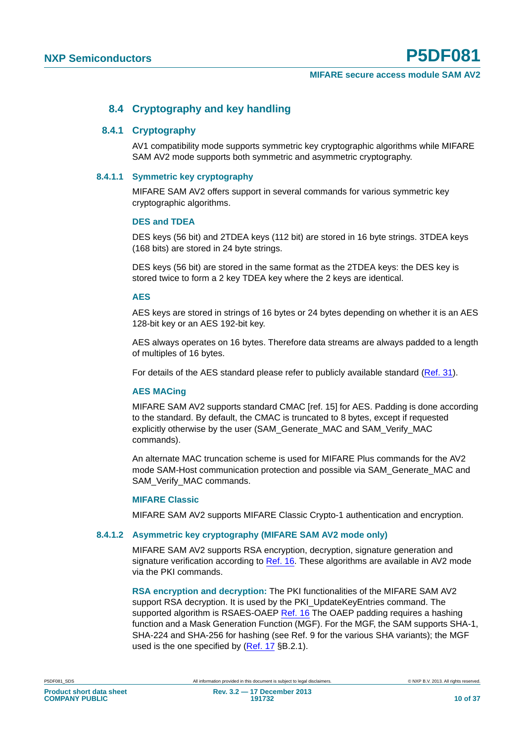#### **8.4 Cryptography and key handling**

#### <span id="page-9-1"></span><span id="page-9-0"></span>**8.4.1 Cryptography**

AV1 compatibility mode supports symmetric key cryptographic algorithms while MIFARE SAM AV2 mode supports both symmetric and asymmetric cryptography.

#### <span id="page-9-2"></span>**8.4.1.1 Symmetric key cryptography**

MIFARE SAM AV2 offers support in several commands for various symmetric key cryptographic algorithms.

#### <span id="page-9-3"></span>**DES and TDEA**

DES keys (56 bit) and 2TDEA keys (112 bit) are stored in 16 byte strings. 3TDEA keys (168 bits) are stored in 24 byte strings.

DES keys (56 bit) are stored in the same format as the 2TDEA keys: the DES key is stored twice to form a 2 key TDEA key where the 2 keys are identical.

#### <span id="page-9-4"></span>**AES**

AES keys are stored in strings of 16 bytes or 24 bytes depending on whether it is an AES 128-bit key or an AES 192-bit key.

AES always operates on 16 bytes. Therefore data streams are always padded to a length of multiples of 16 bytes.

For details of the AES standard please refer to publicly available standard (Ref. 31).

#### <span id="page-9-5"></span>**AES MACing**

MIFARE SAM AV2 supports standard CMAC [ref. 15] for AES. Padding is done according to the standard. By default, the CMAC is truncated to 8 bytes, except if requested explicitly otherwise by the user (SAM\_Generate\_MAC and SAM\_Verify\_MAC commands).

An alternate MAC truncation scheme is used for MIFARE Plus commands for the AV2 mode SAM-Host communication protection and possible via SAM\_Generate\_MAC and SAM\_Verify\_MAC commands.

#### <span id="page-9-6"></span>**MIFARE Classic**

MIFARE SAM AV2 supports MIFARE Classic Crypto-1 authentication and encryption.

#### <span id="page-9-7"></span>**8.4.1.2 Asymmetric key cryptography (MIFARE SAM AV2 mode only)**

MIFARE SAM AV2 supports RSA encryption, decryption, signature generation and signature verification according to Ref. 16. These algorithms are available in AV2 mode via the PKI commands.

**RSA encryption and decryption:** The PKI functionalities of the MIFARE SAM AV2 support RSA decryption. It is used by the PKI\_UpdateKeyEntries command. The supported algorithm is RSAES-OAEP Ref. 16 The OAEP padding requires a hashing function and a Mask Generation Function (MGF). For the MGF, the SAM supports SHA-1, SHA-224 and SHA-256 for hashing (see Ref. 9 for the various SHA variants); the MGF used is the one specified by (Ref. 17 §B.2.1).

**COMPANY PUBLIC**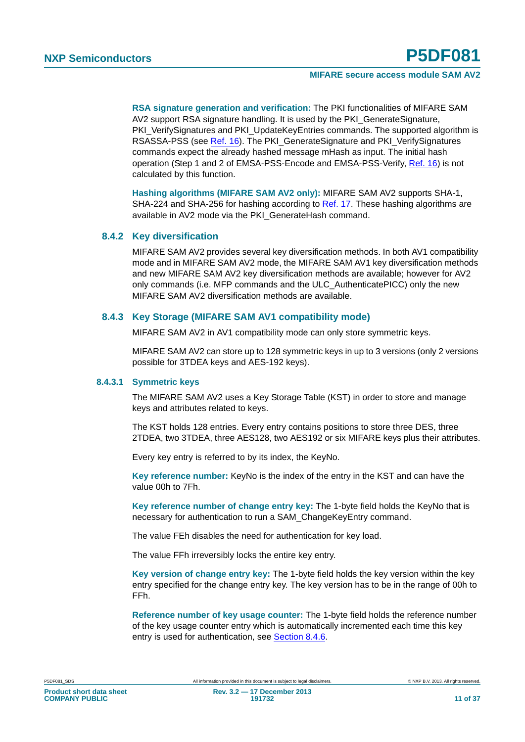**RSA signature generation and verification:** The PKI functionalities of MIFARE SAM AV2 support RSA signature handling. It is used by the PKI\_GenerateSignature, PKI\_VerifySignatures and PKI\_UpdateKeyEntries commands. The supported algorithm is RSASSA-PSS (see Ref. 16). The PKI\_GenerateSignature and PKI\_VerifySignatures commands expect the already hashed message mHash as input. The initial hash operation (Step 1 and 2 of EMSA-PSS-Encode and EMSA-PSS-Verify, Ref. 16) is not calculated by this function.

**Hashing algorithms (MIFARE SAM AV2 only):** MIFARE SAM AV2 supports SHA-1, SHA-224 and SHA-256 for hashing according to Ref. 17. These hashing algorithms are available in AV2 mode via the PKI\_GenerateHash command.

#### <span id="page-10-0"></span>**8.4.2 Key diversification**

MIFARE SAM AV2 provides several key diversification methods. In both AV1 compatibility mode and in MIFARE SAM AV2 mode, the MIFARE SAM AV1 key diversification methods and new MIFARE SAM AV2 key diversification methods are available; however for AV2 only commands (i.e. MFP commands and the ULC\_AuthenticatePICC) only the new MIFARE SAM AV2 diversification methods are available.

#### <span id="page-10-1"></span>**8.4.3 Key Storage (MIFARE SAM AV1 compatibility mode)**

MIFARE SAM AV2 in AV1 compatibility mode can only store symmetric keys.

MIFARE SAM AV2 can store up to 128 symmetric keys in up to 3 versions (only 2 versions possible for 3TDEA keys and AES-192 keys).

#### <span id="page-10-2"></span>**8.4.3.1 Symmetric keys**

The MIFARE SAM AV2 uses a Key Storage Table (KST) in order to store and manage keys and attributes related to keys.

The KST holds 128 entries. Every entry contains positions to store three DES, three 2TDEA, two 3TDEA, three AES128, two AES192 or six MIFARE keys plus their attributes.

Every key entry is referred to by its index, the KeyNo.

**Key reference number:** KeyNo is the index of the entry in the KST and can have the value 00h to 7Fh.

**Key reference number of change entry key:** The 1-byte field holds the KeyNo that is necessary for authentication to run a SAM\_ChangeKeyEntry command.

The value FEh disables the need for authentication for key load.

The value FFh irreversibly locks the entire key entry.

**Key version of change entry key:** The 1-byte field holds the key version within the key entry specified for the change entry key. The key version has to be in the range of 00h to FFh.

**Reference number of key usage counter:** The 1-byte field holds the reference number of the key usage counter entry which is automatically incremented each time this key entry is used for authentication, see Section 8.4.6.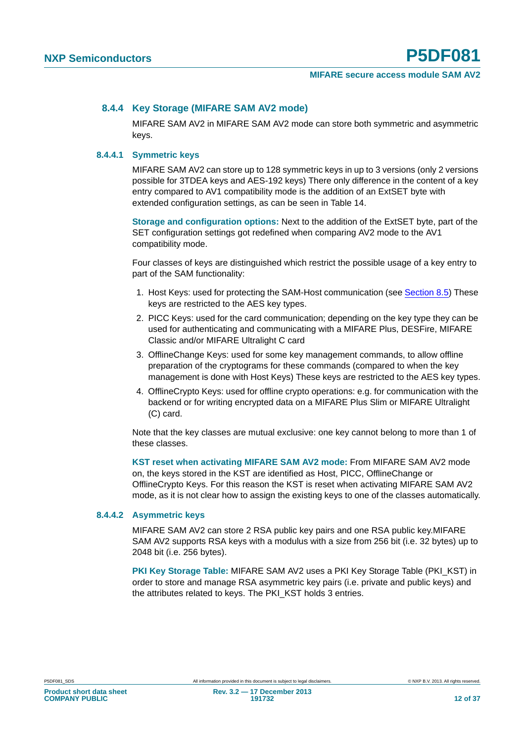#### <span id="page-11-0"></span>**8.4.4 Key Storage (MIFARE SAM AV2 mode)**

MIFARE SAM AV2 in MIFARE SAM AV2 mode can store both symmetric and asymmetric keys.

#### <span id="page-11-1"></span>**8.4.4.1 Symmetric keys**

MIFARE SAM AV2 can store up to 128 symmetric keys in up to 3 versions (only 2 versions possible for 3TDEA keys and AES-192 keys) There only difference in the content of a key entry compared to AV1 compatibility mode is the addition of an ExtSET byte with extended configuration settings, as can be seen in Table 14.

**Storage and configuration options:** Next to the addition of the ExtSET byte, part of the SET configuration settings got redefined when comparing AV2 mode to the AV1 compatibility mode.

Four classes of keys are distinguished which restrict the possible usage of a key entry to part of the SAM functionality:

- 1. Host Keys: used for protecting the SAM-Host communication (see Section 8.5) These keys are restricted to the AES key types.
- 2. PICC Keys: used for the card communication; depending on the key type they can be used for authenticating and communicating with a MIFARE Plus, DESFire, MIFARE Classic and/or MIFARE Ultralight C card
- 3. OfflineChange Keys: used for some key management commands, to allow offline preparation of the cryptograms for these commands (compared to when the key management is done with Host Keys) These keys are restricted to the AES key types.
- 4. OfflineCrypto Keys: used for offline crypto operations: e.g. for communication with the backend or for writing encrypted data on a MIFARE Plus Slim or MIFARE Ultralight (C) card.

Note that the key classes are mutual exclusive: one key cannot belong to more than 1 of these classes.

**KST reset when activating MIFARE SAM AV2 mode:** From MIFARE SAM AV2 mode on, the keys stored in the KST are identified as Host, PICC, OfflineChange or OfflineCrypto Keys. For this reason the KST is reset when activating MIFARE SAM AV2 mode, as it is not clear how to assign the existing keys to one of the classes automatically.

#### <span id="page-11-2"></span>**8.4.4.2 Asymmetric keys**

MIFARE SAM AV2 can store 2 RSA public key pairs and one RSA public key.MIFARE SAM AV2 supports RSA keys with a modulus with a size from 256 bit (i.e. 32 bytes) up to 2048 bit (i.e. 256 bytes).

**PKI Key Storage Table:** MIFARE SAM AV2 uses a PKI Key Storage Table (PKI\_KST) in order to store and manage RSA asymmetric key pairs (i.e. private and public keys) and the attributes related to keys. The PKI\_KST holds 3 entries.

**Product short data sheet COMPANY PUBLIC**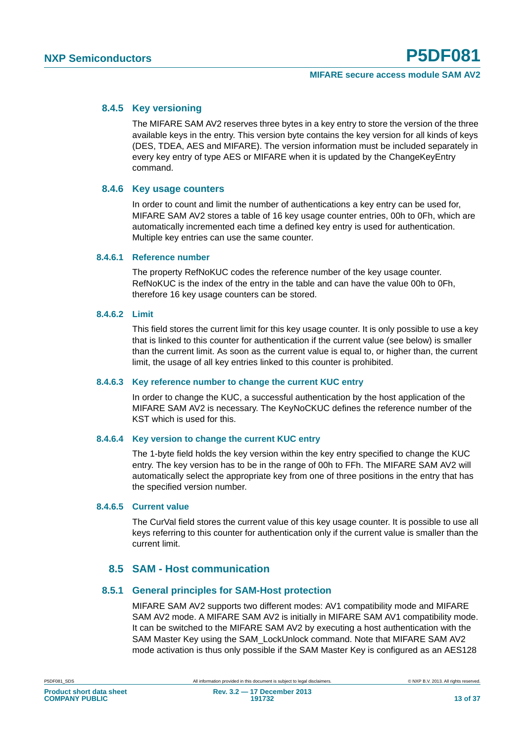#### <span id="page-12-0"></span>**8.4.5 Key versioning**

The MIFARE SAM AV2 reserves three bytes in a key entry to store the version of the three available keys in the entry. This version byte contains the key version for all kinds of keys (DES, TDEA, AES and MIFARE). The version information must be included separately in every key entry of type AES or MIFARE when it is updated by the ChangeKeyEntry command.

#### <span id="page-12-1"></span>**8.4.6 Key usage counters**

In order to count and limit the number of authentications a key entry can be used for, MIFARE SAM AV2 stores a table of 16 key usage counter entries, 00h to 0Fh, which are automatically incremented each time a defined key entry is used for authentication. Multiple key entries can use the same counter.

#### <span id="page-12-2"></span>**8.4.6.1 Reference number**

The property RefNoKUC codes the reference number of the key usage counter. RefNoKUC is the index of the entry in the table and can have the value 00h to 0Fh, therefore 16 key usage counters can be stored.

#### <span id="page-12-3"></span>**8.4.6.2 Limit**

This field stores the current limit for this key usage counter. It is only possible to use a key that is linked to this counter for authentication if the current value (see below) is smaller than the current limit. As soon as the current value is equal to, or higher than, the current limit, the usage of all key entries linked to this counter is prohibited.

#### <span id="page-12-4"></span>**8.4.6.3 Key reference number to change the current KUC entry**

In order to change the KUC, a successful authentication by the host application of the MIFARE SAM AV2 is necessary. The KeyNoCKUC defines the reference number of the KST which is used for this.

#### <span id="page-12-5"></span>**8.4.6.4 Key version to change the current KUC entry**

The 1-byte field holds the key version within the key entry specified to change the KUC entry. The key version has to be in the range of 00h to FFh. The MIFARE SAM AV2 will automatically select the appropriate key from one of three positions in the entry that has the specified version number.

#### <span id="page-12-6"></span>**8.4.6.5 Current value**

The CurVal field stores the current value of this key usage counter. It is possible to use all keys referring to this counter for authentication only if the current value is smaller than the current limit.

#### **8.5 SAM - Host communication**

#### <span id="page-12-8"></span><span id="page-12-7"></span>**8.5.1 General principles for SAM-Host protection**

MIFARE SAM AV2 supports two different modes: AV1 compatibility mode and MIFARE SAM AV2 mode. A MIFARE SAM AV2 is initially in MIFARE SAM AV1 compatibility mode. It can be switched to the MIFARE SAM AV2 by executing a host authentication with the SAM Master Key using the SAM\_LockUnlock command. Note that MIFARE SAM AV2 mode activation is thus only possible if the SAM Master Key is configured as an AES128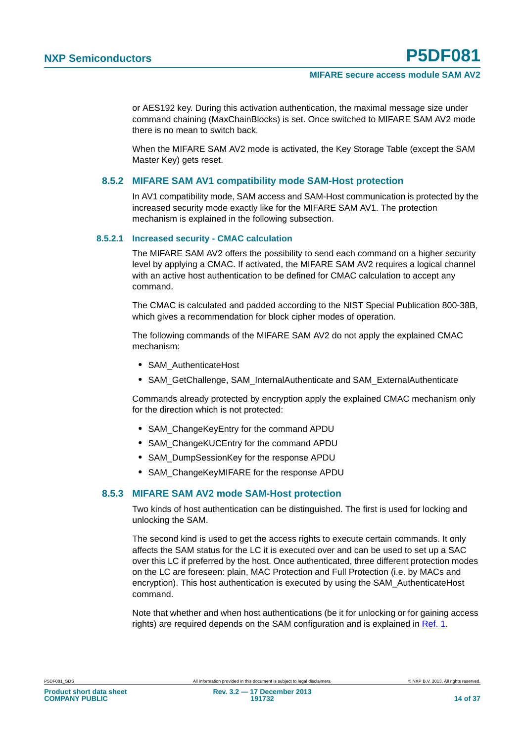or AES192 key. During this activation authentication, the maximal message size under command chaining (MaxChainBlocks) is set. Once switched to MIFARE SAM AV2 mode there is no mean to switch back.

When the MIFARE SAM AV2 mode is activated, the Key Storage Table (except the SAM Master Key) gets reset.

#### <span id="page-13-0"></span>**8.5.2 MIFARE SAM AV1 compatibility mode SAM-Host protection**

In AV1 compatibility mode, SAM access and SAM-Host communication is protected by the increased security mode exactly like for the MIFARE SAM AV1. The protection mechanism is explained in the following subsection.

#### <span id="page-13-1"></span>**8.5.2.1 Increased security - CMAC calculation**

The MIFARE SAM AV2 offers the possibility to send each command on a higher security level by applying a CMAC. If activated, the MIFARE SAM AV2 requires a logical channel with an active host authentication to be defined for CMAC calculation to accept any command.

The CMAC is calculated and padded according to the NIST Special Publication 800-38B, which gives a recommendation for block cipher modes of operation.

The following commands of the MIFARE SAM AV2 do not apply the explained CMAC mechanism:

- **•** SAM\_AuthenticateHost
- **•** SAM\_GetChallenge, SAM\_InternalAuthenticate and SAM\_ExternalAuthenticate

Commands already protected by encryption apply the explained CMAC mechanism only for the direction which is not protected:

- **•** SAM\_ChangeKeyEntry for the command APDU
- **•** SAM\_ChangeKUCEntry for the command APDU
- **•** SAM\_DumpSessionKey for the response APDU
- **•** SAM\_ChangeKeyMIFARE for the response APDU

#### <span id="page-13-2"></span>**8.5.3 MIFARE SAM AV2 mode SAM-Host protection**

Two kinds of host authentication can be distinguished. The first is used for locking and unlocking the SAM.

The second kind is used to get the access rights to execute certain commands. It only affects the SAM status for the LC it is executed over and can be used to set up a SAC over this LC if preferred by the host. Once authenticated, three different protection modes on the LC are foreseen: plain, MAC Protection and Full Protection (i.e. by MACs and encryption). This host authentication is executed by using the SAM\_AuthenticateHost command.

Note that whether and when host authentications (be it for unlocking or for gaining access rights) are required depends on the SAM configuration and is explained in Ref. 1.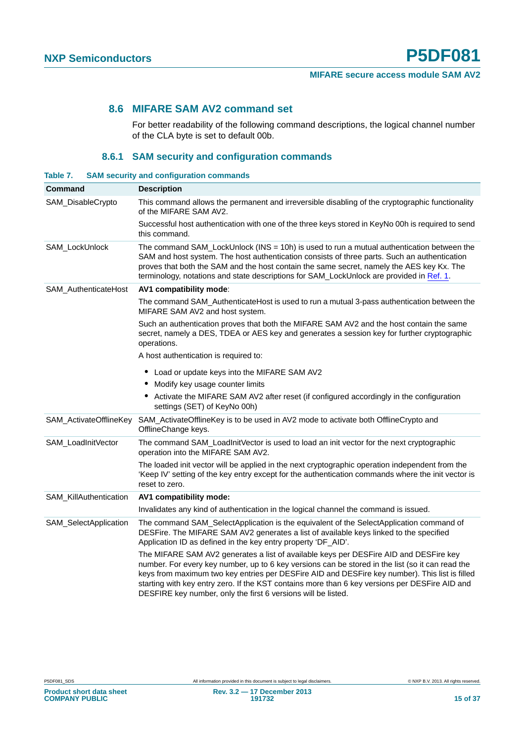#### <span id="page-14-1"></span>**8.6 MIFARE SAM AV2 command set**

For better readability of the following command descriptions, the logical channel number of the CLA byte is set to default 00b.

#### **8.6.1 SAM security and configuration commands**

<span id="page-14-2"></span><span id="page-14-0"></span>

| Table 7.                      |                        | <b>SAM security and configuration commands</b>                                                                                                                                                                                                                                                                                                                                                                                                                 |
|-------------------------------|------------------------|----------------------------------------------------------------------------------------------------------------------------------------------------------------------------------------------------------------------------------------------------------------------------------------------------------------------------------------------------------------------------------------------------------------------------------------------------------------|
| Command                       |                        | <b>Description</b>                                                                                                                                                                                                                                                                                                                                                                                                                                             |
| SAM_DisableCrypto             |                        | This command allows the permanent and irreversible disabling of the cryptographic functionality<br>of the MIFARE SAM AV2.                                                                                                                                                                                                                                                                                                                                      |
|                               |                        | Successful host authentication with one of the three keys stored in KeyNo 00h is required to send<br>this command.                                                                                                                                                                                                                                                                                                                                             |
| SAM_LockUnlock                |                        | The command SAM_LockUnlock (INS = 10h) is used to run a mutual authentication between the<br>SAM and host system. The host authentication consists of three parts. Such an authentication<br>proves that both the SAM and the host contain the same secret, namely the AES key Kx. The<br>terminology, notations and state descriptions for SAM_LockUnlock are provided in Ref. 1.                                                                             |
| SAM_AuthenticateHost          |                        | AV1 compatibility mode:                                                                                                                                                                                                                                                                                                                                                                                                                                        |
|                               |                        | The command SAM_AuthenticateHost is used to run a mutual 3-pass authentication between the<br>MIFARE SAM AV2 and host system.                                                                                                                                                                                                                                                                                                                                  |
|                               |                        | Such an authentication proves that both the MIFARE SAM AV2 and the host contain the same<br>secret, namely a DES, TDEA or AES key and generates a session key for further cryptographic<br>operations.                                                                                                                                                                                                                                                         |
|                               |                        | A host authentication is required to:                                                                                                                                                                                                                                                                                                                                                                                                                          |
|                               |                        | • Load or update keys into the MIFARE SAM AV2                                                                                                                                                                                                                                                                                                                                                                                                                  |
|                               |                        | • Modify key usage counter limits                                                                                                                                                                                                                                                                                                                                                                                                                              |
|                               |                        | • Activate the MIFARE SAM AV2 after reset (if configured accordingly in the configuration<br>settings (SET) of KeyNo 00h)                                                                                                                                                                                                                                                                                                                                      |
|                               | SAM_ActivateOfflineKey | SAM_ActivateOfflineKey is to be used in AV2 mode to activate both OfflineCrypto and<br>OfflineChange keys.                                                                                                                                                                                                                                                                                                                                                     |
| SAM_LoadInitVector            |                        | The command SAM_LoadInitVector is used to load an init vector for the next cryptographic<br>operation into the MIFARE SAM AV2.                                                                                                                                                                                                                                                                                                                                 |
|                               |                        | The loaded init vector will be applied in the next cryptographic operation independent from the<br>'Keep IV' setting of the key entry except for the authentication commands where the init vector is<br>reset to zero.                                                                                                                                                                                                                                        |
| <b>SAM KillAuthentication</b> |                        | AV1 compatibility mode:                                                                                                                                                                                                                                                                                                                                                                                                                                        |
|                               |                        | Invalidates any kind of authentication in the logical channel the command is issued.                                                                                                                                                                                                                                                                                                                                                                           |
| SAM_SelectApplication         |                        | The command SAM_SelectApplication is the equivalent of the SelectApplication command of<br>DESFire. The MIFARE SAM AV2 generates a list of available keys linked to the specified<br>Application ID as defined in the key entry property 'DF_AID'.                                                                                                                                                                                                             |
|                               |                        | The MIFARE SAM AV2 generates a list of available keys per DESFire AID and DESFire key<br>number. For every key number, up to 6 key versions can be stored in the list (so it can read the<br>keys from maximum two key entries per DESFire AID and DESFire key number). This list is filled<br>starting with key entry zero. If the KST contains more than 6 key versions per DESFire AID and<br>DESFIRE key number, only the first 6 versions will be listed. |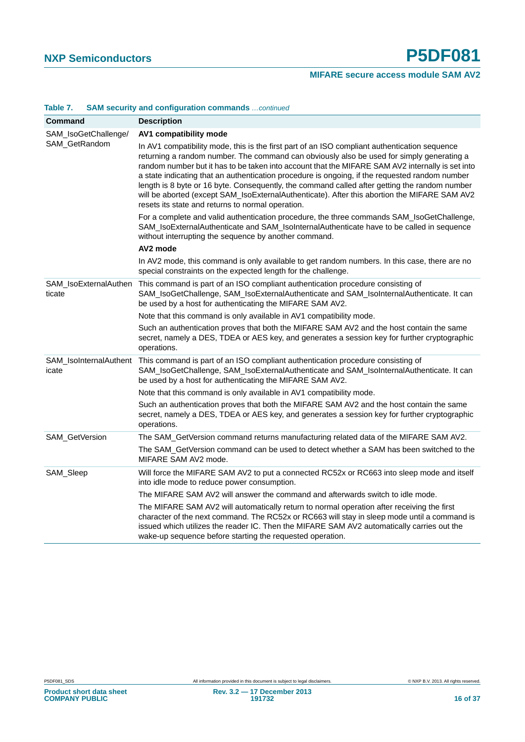|                      | <u>Uran Ouunty and Uumgaration Uumnando commucu</u>                                                                                                                                                                                                                                                                                                                                                                                                                                                                                                                                                                                                    |  |  |
|----------------------|--------------------------------------------------------------------------------------------------------------------------------------------------------------------------------------------------------------------------------------------------------------------------------------------------------------------------------------------------------------------------------------------------------------------------------------------------------------------------------------------------------------------------------------------------------------------------------------------------------------------------------------------------------|--|--|
| Command              | <b>Description</b>                                                                                                                                                                                                                                                                                                                                                                                                                                                                                                                                                                                                                                     |  |  |
| SAM_IsoGetChallenge/ | AV1 compatibility mode                                                                                                                                                                                                                                                                                                                                                                                                                                                                                                                                                                                                                                 |  |  |
| SAM_GetRandom        | In AV1 compatibility mode, this is the first part of an ISO compliant authentication sequence<br>returning a random number. The command can obviously also be used for simply generating a<br>random number but it has to be taken into account that the MIFARE SAM AV2 internally is set into<br>a state indicating that an authentication procedure is ongoing, if the requested random number<br>length is 8 byte or 16 byte. Consequently, the command called after getting the random number<br>will be aborted (except SAM_IsoExternalAuthenticate). After this abortion the MIFARE SAM AV2<br>resets its state and returns to normal operation. |  |  |
|                      | For a complete and valid authentication procedure, the three commands SAM_IsoGetChallenge,<br>SAM_IsoExternalAuthenticate and SAM_IsoInternalAuthenticate have to be called in sequence<br>without interrupting the sequence by another command.                                                                                                                                                                                                                                                                                                                                                                                                       |  |  |
|                      | AV2 mode                                                                                                                                                                                                                                                                                                                                                                                                                                                                                                                                                                                                                                               |  |  |
|                      | In AV2 mode, this command is only available to get random numbers. In this case, there are no<br>special constraints on the expected length for the challenge.                                                                                                                                                                                                                                                                                                                                                                                                                                                                                         |  |  |
| ticate               | SAM_IsoExternalAuthen This command is part of an ISO compliant authentication procedure consisting of<br>SAM_IsoGetChallenge, SAM_IsoExternalAuthenticate and SAM_IsoInternalAuthenticate. It can<br>be used by a host for authenticating the MIFARE SAM AV2.                                                                                                                                                                                                                                                                                                                                                                                          |  |  |
|                      | Note that this command is only available in AV1 compatibility mode.                                                                                                                                                                                                                                                                                                                                                                                                                                                                                                                                                                                    |  |  |
|                      | Such an authentication proves that both the MIFARE SAM AV2 and the host contain the same<br>secret, namely a DES, TDEA or AES key, and generates a session key for further cryptographic<br>operations.                                                                                                                                                                                                                                                                                                                                                                                                                                                |  |  |
| icate                | SAM_IsoInternalAuthent This command is part of an ISO compliant authentication procedure consisting of<br>SAM_IsoGetChallenge, SAM_IsoExternalAuthenticate and SAM_IsoInternalAuthenticate. It can<br>be used by a host for authenticating the MIFARE SAM AV2.                                                                                                                                                                                                                                                                                                                                                                                         |  |  |
|                      | Note that this command is only available in AV1 compatibility mode.                                                                                                                                                                                                                                                                                                                                                                                                                                                                                                                                                                                    |  |  |
|                      | Such an authentication proves that both the MIFARE SAM AV2 and the host contain the same<br>secret, namely a DES, TDEA or AES key, and generates a session key for further cryptographic<br>operations.                                                                                                                                                                                                                                                                                                                                                                                                                                                |  |  |
| SAM_GetVersion       | The SAM_GetVersion command returns manufacturing related data of the MIFARE SAM AV2.                                                                                                                                                                                                                                                                                                                                                                                                                                                                                                                                                                   |  |  |
|                      | The SAM_GetVersion command can be used to detect whether a SAM has been switched to the<br>MIFARE SAM AV2 mode.                                                                                                                                                                                                                                                                                                                                                                                                                                                                                                                                        |  |  |
| SAM_Sleep            | Will force the MIFARE SAM AV2 to put a connected RC52x or RC663 into sleep mode and itself<br>into idle mode to reduce power consumption.                                                                                                                                                                                                                                                                                                                                                                                                                                                                                                              |  |  |
|                      | The MIFARE SAM AV2 will answer the command and afterwards switch to idle mode.                                                                                                                                                                                                                                                                                                                                                                                                                                                                                                                                                                         |  |  |
|                      | The MIFARE SAM AV2 will automatically return to normal operation after receiving the first<br>character of the next command. The RC52x or RC663 will stay in sleep mode until a command is<br>issued which utilizes the reader IC. Then the MIFARE SAM AV2 automatically carries out the<br>wake-up sequence before starting the requested operation.                                                                                                                                                                                                                                                                                                  |  |  |

## **Table 7. SAM security and configuration commands** *…continued*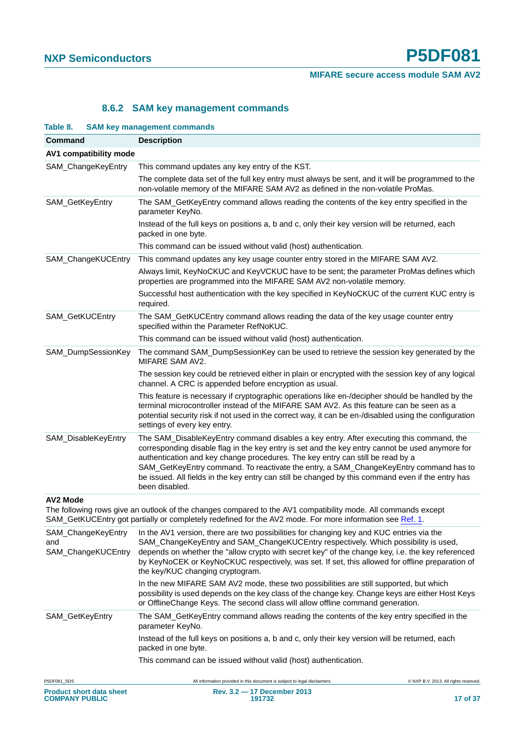#### **8.6.2 SAM key management commands**

<span id="page-16-1"></span><span id="page-16-0"></span>

| Table 8.               | <b>SAM key management commands</b>                                                                                                                                                                                                                                                                                                                                                                                                                                                           |
|------------------------|----------------------------------------------------------------------------------------------------------------------------------------------------------------------------------------------------------------------------------------------------------------------------------------------------------------------------------------------------------------------------------------------------------------------------------------------------------------------------------------------|
| Command                | <b>Description</b>                                                                                                                                                                                                                                                                                                                                                                                                                                                                           |
| AV1 compatibility mode |                                                                                                                                                                                                                                                                                                                                                                                                                                                                                              |
| SAM_ChangeKeyEntry     | This command updates any key entry of the KST.                                                                                                                                                                                                                                                                                                                                                                                                                                               |
|                        | The complete data set of the full key entry must always be sent, and it will be programmed to the<br>non-volatile memory of the MIFARE SAM AV2 as defined in the non-volatile ProMas.                                                                                                                                                                                                                                                                                                        |
| SAM_GetKeyEntry        | The SAM_GetKeyEntry command allows reading the contents of the key entry specified in the<br>parameter KeyNo.                                                                                                                                                                                                                                                                                                                                                                                |
|                        | Instead of the full keys on positions a, b and c, only their key version will be returned, each<br>packed in one byte.                                                                                                                                                                                                                                                                                                                                                                       |
|                        | This command can be issued without valid (host) authentication.                                                                                                                                                                                                                                                                                                                                                                                                                              |
| SAM_ChangeKUCEntry     | This command updates any key usage counter entry stored in the MIFARE SAM AV2.                                                                                                                                                                                                                                                                                                                                                                                                               |
|                        | Always limit, KeyNoCKUC and KeyVCKUC have to be sent; the parameter ProMas defines which<br>properties are programmed into the MIFARE SAM AV2 non-volatile memory.                                                                                                                                                                                                                                                                                                                           |
|                        | Successful host authentication with the key specified in KeyNoCKUC of the current KUC entry is<br>required.                                                                                                                                                                                                                                                                                                                                                                                  |
| SAM_GetKUCEntry        | The SAM_GetKUCEntry command allows reading the data of the key usage counter entry<br>specified within the Parameter RefNoKUC.                                                                                                                                                                                                                                                                                                                                                               |
|                        | This command can be issued without valid (host) authentication.                                                                                                                                                                                                                                                                                                                                                                                                                              |
| SAM_DumpSessionKey     | The command SAM_DumpSessionKey can be used to retrieve the session key generated by the<br>MIFARE SAM AV2.                                                                                                                                                                                                                                                                                                                                                                                   |
|                        | The session key could be retrieved either in plain or encrypted with the session key of any logical<br>channel. A CRC is appended before encryption as usual.                                                                                                                                                                                                                                                                                                                                |
|                        | This feature is necessary if cryptographic operations like en-/decipher should be handled by the<br>terminal microcontroller instead of the MIFARE SAM AV2. As this feature can be seen as a<br>potential security risk if not used in the correct way, it can be en-/disabled using the configuration<br>settings of every key entry.                                                                                                                                                       |
| SAM_DisableKeyEntry    | The SAM_DisableKeyEntry command disables a key entry. After executing this command, the<br>corresponding disable flag in the key entry is set and the key entry cannot be used anymore for<br>authentication and key change procedures. The key entry can still be read by a<br>SAM_GetKeyEntry command. To reactivate the entry, a SAM_ChangeKeyEntry command has to<br>be issued. All fields in the key entry can still be changed by this command even if the entry has<br>been disabled. |
| <b>AV2 Mode</b>        |                                                                                                                                                                                                                                                                                                                                                                                                                                                                                              |

The following rows give an outlook of the changes compared to the AV1 compatibility mode. All commands except

|                                                 | SAM_GetKUCEntry got partially or completely redefined for the AV2 mode. For more information see Ref. 1.                                                                                                                                                                                                                                                                                                                  |
|-------------------------------------------------|---------------------------------------------------------------------------------------------------------------------------------------------------------------------------------------------------------------------------------------------------------------------------------------------------------------------------------------------------------------------------------------------------------------------------|
| SAM ChangeKeyEntry<br>and<br>SAM_ChangeKUCEntry | In the AV1 version, there are two possibilities for changing key and KUC entries via the<br>SAM_ChangeKeyEntry and SAM_ChangeKUCEntry respectively. Which possibility is used,<br>depends on whether the "allow crypto with secret key" of the change key, i.e. the key referenced<br>by KeyNoCEK or KeyNoCKUC respectively, was set. If set, this allowed for offline preparation of<br>the key/KUC changing cryptogram. |
|                                                 | In the new MIFARE SAM AV2 mode, these two possibilities are still supported, but which<br>possibility is used depends on the key class of the change key. Change keys are either Host Keys<br>or OfflineChange Keys. The second class will allow offline command generation.                                                                                                                                              |
| <b>SAM GetKeyEntry</b>                          | The SAM GetKeyEntry command allows reading the contents of the key entry specified in the<br>parameter KeyNo.                                                                                                                                                                                                                                                                                                             |
|                                                 | Instead of the full keys on positions a, b and c, only their key version will be returned, each<br>packed in one byte.                                                                                                                                                                                                                                                                                                    |
|                                                 | This command can be issued without valid (host) authentication.                                                                                                                                                                                                                                                                                                                                                           |
|                                                 |                                                                                                                                                                                                                                                                                                                                                                                                                           |

| P5DF081 SDS                     | All information provided in this document is subject to legal disclaimers. | © NXP B.V. 2013. All rights reserved. |
|---------------------------------|----------------------------------------------------------------------------|---------------------------------------|
| <b>Product short data sheet</b> | Rev. 3.2 - 17 December 2013                                                |                                       |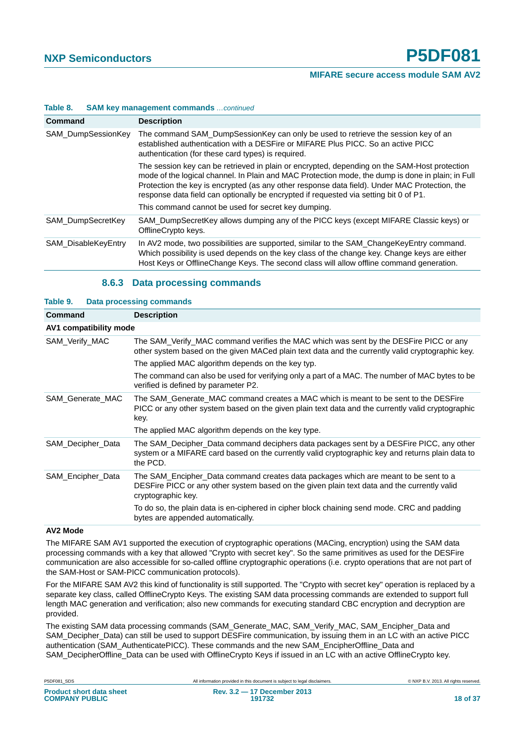| Command             | <b>Description</b>                                                                                                                                                                                                                                                                                                                                                                          |  |
|---------------------|---------------------------------------------------------------------------------------------------------------------------------------------------------------------------------------------------------------------------------------------------------------------------------------------------------------------------------------------------------------------------------------------|--|
| SAM_DumpSessionKey  | The command SAM_DumpSessionKey can only be used to retrieve the session key of an<br>established authentication with a DESFire or MIFARE Plus PICC. So an active PICC<br>authentication (for these card types) is required.                                                                                                                                                                 |  |
|                     | The session key can be retrieved in plain or encrypted, depending on the SAM-Host protection<br>mode of the logical channel. In Plain and MAC Protection mode, the dump is done in plain; in Full<br>Protection the key is encrypted (as any other response data field). Under MAC Protection, the<br>response data field can optionally be encrypted if requested via setting bit 0 of P1. |  |
|                     | This command cannot be used for secret key dumping.                                                                                                                                                                                                                                                                                                                                         |  |
| SAM DumpSecretKey   | SAM DumpSecretKey allows dumping any of the PICC keys (except MIFARE Classic keys) or<br>OfflineCrypto keys.                                                                                                                                                                                                                                                                                |  |
| SAM DisableKeyEntry | In AV2 mode, two possibilities are supported, similar to the SAM_ChangeKeyEntry command.<br>Which possibility is used depends on the key class of the change key. Change keys are either<br>Host Keys or OfflineChange Keys. The second class will allow offline command generation.                                                                                                        |  |

#### **Table 8. SAM key management commands** *…continued*

#### **8.6.3 Data processing commands**

<span id="page-17-1"></span><span id="page-17-0"></span>

| Table 9.               | <b>Data processing commands</b>                                                                                                                                                                          |
|------------------------|----------------------------------------------------------------------------------------------------------------------------------------------------------------------------------------------------------|
| <b>Command</b>         | <b>Description</b>                                                                                                                                                                                       |
| AV1 compatibility mode |                                                                                                                                                                                                          |
| SAM_Verify_MAC         | The SAM_Verify_MAC command verifies the MAC which was sent by the DESFire PICC or any<br>other system based on the given MACed plain text data and the currently valid cryptographic key.                |
|                        | The applied MAC algorithm depends on the key typ.                                                                                                                                                        |
|                        | The command can also be used for verifying only a part of a MAC. The number of MAC bytes to be<br>verified is defined by parameter P2.                                                                   |
| SAM Generate MAC       | The SAM Generate MAC command creates a MAC which is meant to be sent to the DESFire<br>PICC or any other system based on the given plain text data and the currently valid cryptographic<br>key.         |
|                        | The applied MAC algorithm depends on the key type.                                                                                                                                                       |
| SAM Decipher Data      | The SAM_Decipher_Data command deciphers data packages sent by a DESFire PICC, any other<br>system or a MIFARE card based on the currently valid cryptographic key and returns plain data to<br>the PCD.  |
| SAM_Encipher_Data      | The SAM_Encipher_Data command creates data packages which are meant to be sent to a<br>DESFire PICC or any other system based on the given plain text data and the currently valid<br>cryptographic key. |
|                        | To do so, the plain data is en-ciphered in cipher block chaining send mode. CRC and padding<br>bytes are appended automatically.                                                                         |

#### **AV2 Mode**

The MIFARE SAM AV1 supported the execution of cryptographic operations (MACing, encryption) using the SAM data processing commands with a key that allowed "Crypto with secret key". So the same primitives as used for the DESFire communication are also accessible for so-called offline cryptographic operations (i.e. crypto operations that are not part of the SAM-Host or SAM-PICC communication protocols).

For the MIFARE SAM AV2 this kind of functionality is still supported. The "Crypto with secret key" operation is replaced by a separate key class, called OfflineCrypto Keys. The existing SAM data processing commands are extended to support full length MAC generation and verification; also new commands for executing standard CBC encryption and decryption are provided.

The existing SAM data processing commands (SAM\_Generate\_MAC, SAM\_Verify\_MAC, SAM\_Encipher\_Data and SAM\_Decipher\_Data) can still be used to support DESFire communication, by issuing them in an LC with an active PICC authentication (SAM\_AuthenticatePICC). These commands and the new SAM\_EncipherOffline\_Data and SAM\_DecipherOffline\_Data can be used with OfflineCrypto Keys if issued in an LC with an active OfflineCrypto key.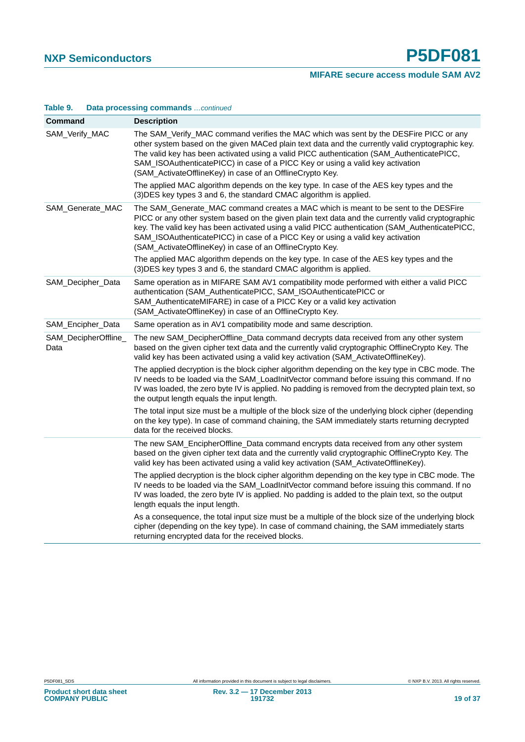| <b>Command</b>               | <b>Description</b>                                                                                                                                                                                                                                                                                                                                                                                                                        |
|------------------------------|-------------------------------------------------------------------------------------------------------------------------------------------------------------------------------------------------------------------------------------------------------------------------------------------------------------------------------------------------------------------------------------------------------------------------------------------|
| SAM_Verify_MAC               | The SAM_Verify_MAC command verifies the MAC which was sent by the DESFire PICC or any<br>other system based on the given MACed plain text data and the currently valid cryptographic key.<br>The valid key has been activated using a valid PICC authentication (SAM_AuthenticatePICC,<br>SAM_ISOAuthenticatePICC) in case of a PICC Key or using a valid key activation<br>(SAM_ActivateOfflineKey) in case of an OfflineCrypto Key.     |
|                              | The applied MAC algorithm depends on the key type. In case of the AES key types and the<br>(3) DES key types 3 and 6, the standard CMAC algorithm is applied.                                                                                                                                                                                                                                                                             |
| SAM_Generate_MAC             | The SAM_Generate_MAC command creates a MAC which is meant to be sent to the DESFire<br>PICC or any other system based on the given plain text data and the currently valid cryptographic<br>key. The valid key has been activated using a valid PICC authentication (SAM_AuthenticatePICC,<br>SAM_ISOAuthenticatePICC) in case of a PICC Key or using a valid key activation<br>(SAM_ActivateOfflineKey) in case of an OfflineCrypto Key. |
|                              | The applied MAC algorithm depends on the key type. In case of the AES key types and the<br>(3) DES key types 3 and 6, the standard CMAC algorithm is applied.                                                                                                                                                                                                                                                                             |
| SAM_Decipher_Data            | Same operation as in MIFARE SAM AV1 compatibility mode performed with either a valid PICC<br>authentication (SAM_AuthenticatePICC, SAM_ISOAuthenticatePICC or<br>SAM_AuthenticateMIFARE) in case of a PICC Key or a valid key activation<br>(SAM_ActivateOfflineKey) in case of an OfflineCrypto Key.                                                                                                                                     |
| SAM_Encipher_Data            | Same operation as in AV1 compatibility mode and same description.                                                                                                                                                                                                                                                                                                                                                                         |
| SAM_DecipherOffline_<br>Data | The new SAM_DecipherOffline_Data command decrypts data received from any other system<br>based on the given cipher text data and the currently valid cryptographic OfflineCrypto Key. The<br>valid key has been activated using a valid key activation (SAM_ActivateOfflineKey).                                                                                                                                                          |
|                              | The applied decryption is the block cipher algorithm depending on the key type in CBC mode. The<br>IV needs to be loaded via the SAM_LoadInitVector command before issuing this command. If no<br>IV was loaded, the zero byte IV is applied. No padding is removed from the decrypted plain text, so<br>the output length equals the input length.                                                                                       |
|                              | The total input size must be a multiple of the block size of the underlying block cipher (depending<br>on the key type). In case of command chaining, the SAM immediately starts returning decrypted<br>data for the received blocks.                                                                                                                                                                                                     |
|                              | The new SAM_EncipherOffline_Data command encrypts data received from any other system<br>based on the given cipher text data and the currently valid cryptographic OfflineCrypto Key. The<br>valid key has been activated using a valid key activation (SAM_ActivateOfflineKey).                                                                                                                                                          |
|                              | The applied decryption is the block cipher algorithm depending on the key type in CBC mode. The<br>IV needs to be loaded via the SAM_LoadInitVector command before issuing this command. If no<br>IV was loaded, the zero byte IV is applied. No padding is added to the plain text, so the output<br>length equals the input length.                                                                                                     |
|                              | As a consequence, the total input size must be a multiple of the block size of the underlying block<br>cipher (depending on the key type). In case of command chaining, the SAM immediately starts<br>returning encrypted data for the received blocks.                                                                                                                                                                                   |

#### **Table 9. Data processing commands** *…continued*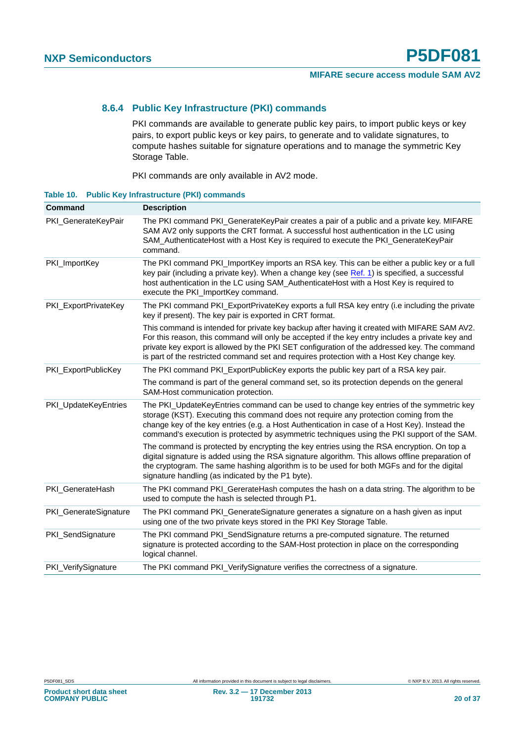#### <span id="page-19-1"></span>**8.6.4 Public Key Infrastructure (PKI) commands**

PKI commands are available to generate public key pairs, to import public keys or key pairs, to export public keys or key pairs, to generate and to validate signatures, to compute hashes suitable for signature operations and to manage the symmetric Key Storage Table.

PKI commands are only available in AV2 mode.

<span id="page-19-0"></span>**Table 10. Public Key Infrastructure (PKI) commands**

| Command               | <b>Description</b>                                                                                                                                                                                                                                                                                                                                                                           |
|-----------------------|----------------------------------------------------------------------------------------------------------------------------------------------------------------------------------------------------------------------------------------------------------------------------------------------------------------------------------------------------------------------------------------------|
| PKI_GenerateKeyPair   | The PKI command PKI_GenerateKeyPair creates a pair of a public and a private key. MIFARE<br>SAM AV2 only supports the CRT format. A successful host authentication in the LC using<br>SAM_AuthenticateHost with a Host Key is required to execute the PKI_GenerateKeyPair<br>command.                                                                                                        |
| PKI_ImportKey         | The PKI command PKI_ImportKey imports an RSA key. This can be either a public key or a full<br>key pair (including a private key). When a change key (see Ref. 1) is specified, a successful<br>host authentication in the LC using SAM_AuthenticateHost with a Host Key is required to<br>execute the PKI_ImportKey command.                                                                |
| PKI_ExportPrivateKey  | The PKI command PKI_ExportPrivateKey exports a full RSA key entry (i.e including the private<br>key if present). The key pair is exported in CRT format.                                                                                                                                                                                                                                     |
|                       | This command is intended for private key backup after having it created with MIFARE SAM AV2.<br>For this reason, this command will only be accepted if the key entry includes a private key and<br>private key export is allowed by the PKI SET configuration of the addressed key. The command<br>is part of the restricted command set and requires protection with a Host Key change key. |
| PKI ExportPublicKey   | The PKI command PKI_ExportPublicKey exports the public key part of a RSA key pair.                                                                                                                                                                                                                                                                                                           |
|                       | The command is part of the general command set, so its protection depends on the general<br>SAM-Host communication protection.                                                                                                                                                                                                                                                               |
| PKI_UpdateKeyEntries  | The PKI_UpdateKeyEntries command can be used to change key entries of the symmetric key<br>storage (KST). Executing this command does not require any protection coming from the<br>change key of the key entries (e.g. a Host Authentication in case of a Host Key). Instead the<br>command's execution is protected by asymmetric techniques using the PKI support of the SAM.             |
|                       | The command is protected by encrypting the key entries using the RSA encryption. On top a<br>digital signature is added using the RSA signature algorithm. This allows offline preparation of<br>the cryptogram. The same hashing algorithm is to be used for both MGFs and for the digital<br>signature handling (as indicated by the P1 byte).                                             |
| PKI_GenerateHash      | The PKI command PKI_GererateHash computes the hash on a data string. The algorithm to be<br>used to compute the hash is selected through P1.                                                                                                                                                                                                                                                 |
| PKI_GenerateSignature | The PKI command PKI_GenerateSignature generates a signature on a hash given as input<br>using one of the two private keys stored in the PKI Key Storage Table.                                                                                                                                                                                                                               |
| PKI_SendSignature     | The PKI command PKI_SendSignature returns a pre-computed signature. The returned<br>signature is protected according to the SAM-Host protection in place on the corresponding<br>logical channel.                                                                                                                                                                                            |
| PKI_VerifySignature   | The PKI command PKI_VerifySignature verifies the correctness of a signature.                                                                                                                                                                                                                                                                                                                 |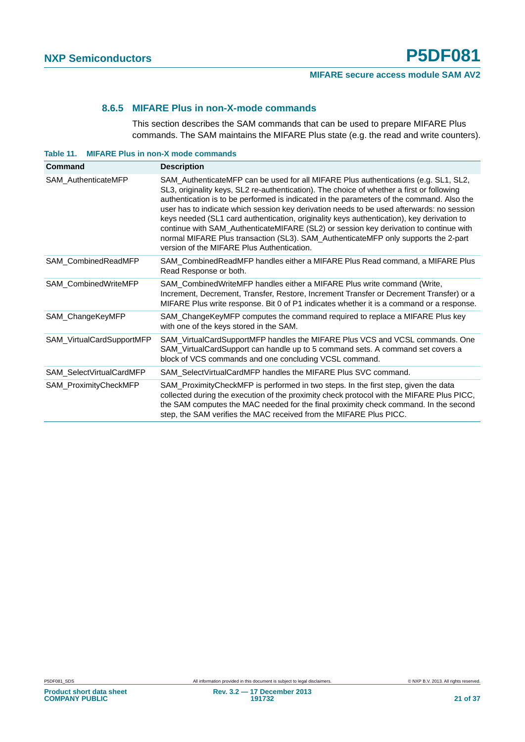#### **8.6.5 MIFARE Plus in non-X-mode commands**

This section describes the SAM commands that can be used to prepare MIFARE Plus commands. The SAM maintains the MIFARE Plus state (e.g. the read and write counters).

<span id="page-20-1"></span><span id="page-20-0"></span>

| Table 11. |  | <b>MIFARE Plus in non-X mode commands</b> |  |
|-----------|--|-------------------------------------------|--|
|-----------|--|-------------------------------------------|--|

| Command                     | <b>Description</b>                                                                                                                                                                                                                                                                                                                                                                                                                                                                                                                                                                                                                                                                                   |
|-----------------------------|------------------------------------------------------------------------------------------------------------------------------------------------------------------------------------------------------------------------------------------------------------------------------------------------------------------------------------------------------------------------------------------------------------------------------------------------------------------------------------------------------------------------------------------------------------------------------------------------------------------------------------------------------------------------------------------------------|
| SAM_AuthenticateMFP         | SAM_AuthenticateMFP can be used for all MIFARE Plus authentications (e.g. SL1, SL2,<br>SL3, originality keys, SL2 re-authentication). The choice of whether a first or following<br>authentication is to be performed is indicated in the parameters of the command. Also the<br>user has to indicate which session key derivation needs to be used afterwards: no session<br>keys needed (SL1 card authentication, originality keys authentication), key derivation to<br>continue with SAM_AuthenticateMIFARE (SL2) or session key derivation to continue with<br>normal MIFARE Plus transaction (SL3). SAM_AuthenticateMFP only supports the 2-part<br>version of the MIFARE Plus Authentication. |
| SAM_CombinedReadMFP         | SAM_CombinedReadMFP handles either a MIFARE Plus Read command, a MIFARE Plus<br>Read Response or both.                                                                                                                                                                                                                                                                                                                                                                                                                                                                                                                                                                                               |
| <b>SAM CombinedWriteMFP</b> | SAM_CombinedWriteMFP handles either a MIFARE Plus write command (Write,<br>Increment, Decrement, Transfer, Restore, Increment Transfer or Decrement Transfer) or a<br>MIFARE Plus write response. Bit 0 of P1 indicates whether it is a command or a response.                                                                                                                                                                                                                                                                                                                                                                                                                                       |
| SAM_ChangeKeyMFP            | SAM_ChangeKeyMFP computes the command required to replace a MIFARE Plus key<br>with one of the keys stored in the SAM.                                                                                                                                                                                                                                                                                                                                                                                                                                                                                                                                                                               |
| SAM_VirtualCardSupportMFP   | SAM_VirtualCardSupportMFP handles the MIFARE Plus VCS and VCSL commands. One<br>SAM_VirtualCardSupport can handle up to 5 command sets. A command set covers a<br>block of VCS commands and one concluding VCSL command.                                                                                                                                                                                                                                                                                                                                                                                                                                                                             |
| SAM SelectVirtualCardMFP    | SAM Select Virtual Card MFP handles the MIFARE Plus SVC command.                                                                                                                                                                                                                                                                                                                                                                                                                                                                                                                                                                                                                                     |
| SAM_ProximityCheckMFP       | SAM_ProximityCheckMFP is performed in two steps. In the first step, given the data<br>collected during the execution of the proximity check protocol with the MIFARE Plus PICC,<br>the SAM computes the MAC needed for the final proximity check command. In the second<br>step, the SAM verifies the MAC received from the MIFARE Plus PICC.                                                                                                                                                                                                                                                                                                                                                        |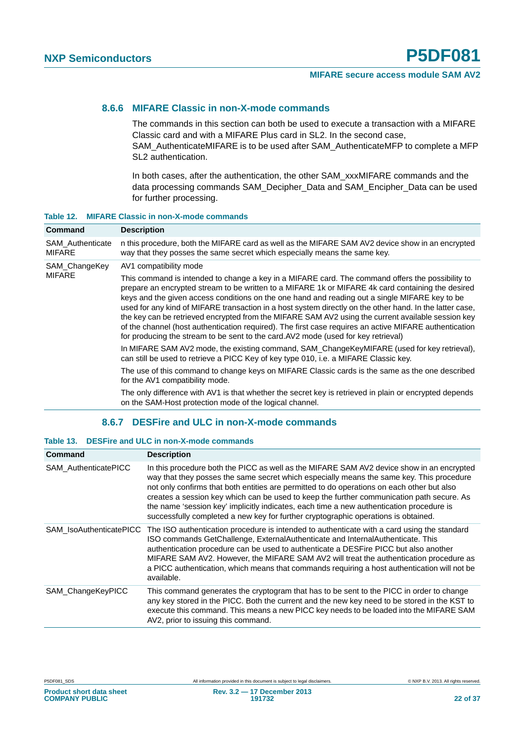#### <span id="page-21-2"></span>**8.6.6 MIFARE Classic in non-X-mode commands**

The commands in this section can both be used to execute a transaction with a MIFARE Classic card and with a MIFARE Plus card in SL2. In the second case, SAM\_AuthenticateMIFARE is to be used after SAM\_AuthenticateMFP to complete a MFP SL2 authentication.

In both cases, after the authentication, the other SAM\_xxxMIFARE commands and the data processing commands SAM\_Decipher\_Data and SAM\_Encipher\_Data can be used for further processing.

| <b>Command</b>                    | <b>Description</b>                                                                                                                                                                                                                                                                                                                                                                                                                                                                                                                                                                                                                                                                                                        |
|-----------------------------------|---------------------------------------------------------------------------------------------------------------------------------------------------------------------------------------------------------------------------------------------------------------------------------------------------------------------------------------------------------------------------------------------------------------------------------------------------------------------------------------------------------------------------------------------------------------------------------------------------------------------------------------------------------------------------------------------------------------------------|
| SAM_Authenticate<br><b>MIFARE</b> | n this procedure, both the MIFARE card as well as the MIFARE SAM AV2 device show in an encrypted<br>way that they posses the same secret which especially means the same key.                                                                                                                                                                                                                                                                                                                                                                                                                                                                                                                                             |
| SAM_ChangeKey<br><b>MIFARE</b>    | AV1 compatibility mode                                                                                                                                                                                                                                                                                                                                                                                                                                                                                                                                                                                                                                                                                                    |
|                                   | This command is intended to change a key in a MIFARE card. The command offers the possibility to<br>prepare an encrypted stream to be written to a MIFARE 1k or MIFARE 4k card containing the desired<br>keys and the given access conditions on the one hand and reading out a single MIFARE key to be<br>used for any kind of MIFARE transaction in a host system directly on the other hand. In the latter case,<br>the key can be retrieved encrypted from the MIFARE SAM AV2 using the current available session key<br>of the channel (host authentication required). The first case requires an active MIFARE authentication<br>for producing the stream to be sent to the card. AV2 mode (used for key retrieval) |
|                                   | In MIFARE SAM AV2 mode, the existing command, SAM_ChangeKeyMIFARE (used for key retrieval),<br>can still be used to retrieve a PICC Key of key type 010, i.e. a MIFARE Classic key.                                                                                                                                                                                                                                                                                                                                                                                                                                                                                                                                       |
|                                   | The use of this command to change keys on MIFARE Classic cards is the same as the one described<br>for the AV1 compatibility mode.                                                                                                                                                                                                                                                                                                                                                                                                                                                                                                                                                                                        |
|                                   | The only difference with AV1 is that whether the secret key is retrieved in plain or encrypted depends<br>on the SAM-Host protection mode of the logical channel.                                                                                                                                                                                                                                                                                                                                                                                                                                                                                                                                                         |

#### <span id="page-21-0"></span>**Table 12. MIFARE Classic in non-X-mode commands**

#### **8.6.7 DESFire and ULC in non-X-mode commands**

#### <span id="page-21-3"></span><span id="page-21-1"></span>**Table 13. DESFire and ULC in non-X-mode commands**

| Command                        | <b>Description</b>                                                                                                                                                                                                                                                                                                                                                                                                                                                                                                                                                 |
|--------------------------------|--------------------------------------------------------------------------------------------------------------------------------------------------------------------------------------------------------------------------------------------------------------------------------------------------------------------------------------------------------------------------------------------------------------------------------------------------------------------------------------------------------------------------------------------------------------------|
| <b>SAM AuthenticatePICC</b>    | In this procedure both the PICC as well as the MIFARE SAM AV2 device show in an encrypted<br>way that they posses the same secret which especially means the same key. This procedure<br>not only confirms that both entities are permitted to do operations on each other but also<br>creates a session key which can be used to keep the further communication path secure. As<br>the name 'session key' implicitly indicates, each time a new authentication procedure is<br>successfully completed a new key for further cryptographic operations is obtained. |
| <b>SAM IsoAuthenticatePICC</b> | The ISO authentication procedure is intended to authenticate with a card using the standard<br>ISO commands GetChallenge, ExternalAuthenticate and InternalAuthenticate. This<br>authentication procedure can be used to authenticate a DESFire PICC but also another<br>MIFARE SAM AV2. However, the MIFARE SAM AV2 will treat the authentication procedure as<br>a PICC authentication, which means that commands requiring a host authentication will not be<br>available.                                                                                      |
| SAM ChangeKeyPICC              | This command generates the cryptogram that has to be sent to the PICC in order to change<br>any key stored in the PICC. Both the current and the new key need to be stored in the KST to<br>execute this command. This means a new PICC key needs to be loaded into the MIFARE SAM<br>AV2, prior to issuing this command.                                                                                                                                                                                                                                          |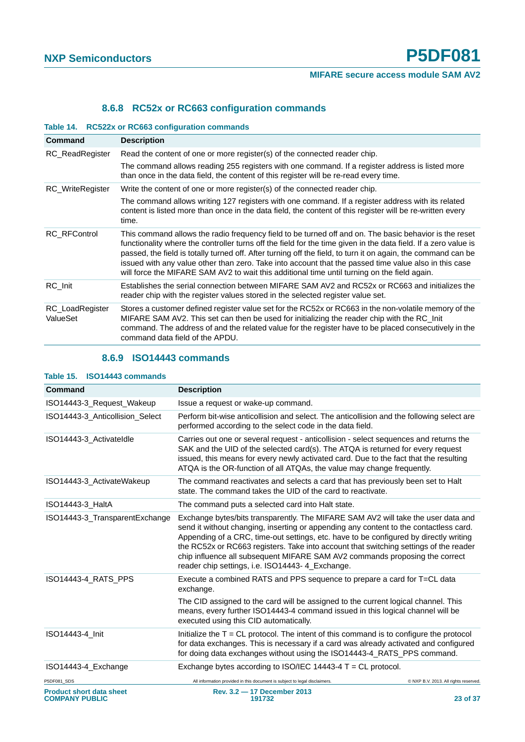## **8.6.8 RC52x or RC663 configuration commands**

#### <span id="page-22-2"></span><span id="page-22-0"></span>**Table 14. RC522x or RC663 configuration commands**

| <b>Command</b>              | <b>Description</b>                                                                                                                                                                                                                                                                                                                                                                                                                                                                                                                                  |
|-----------------------------|-----------------------------------------------------------------------------------------------------------------------------------------------------------------------------------------------------------------------------------------------------------------------------------------------------------------------------------------------------------------------------------------------------------------------------------------------------------------------------------------------------------------------------------------------------|
| RC_ReadRegister             | Read the content of one or more register(s) of the connected reader chip.                                                                                                                                                                                                                                                                                                                                                                                                                                                                           |
|                             | The command allows reading 255 registers with one command. If a register address is listed more<br>than once in the data field, the content of this register will be re-read every time.                                                                                                                                                                                                                                                                                                                                                            |
| <b>RC_WriteRegister</b>     | Write the content of one or more register(s) of the connected reader chip.                                                                                                                                                                                                                                                                                                                                                                                                                                                                          |
|                             | The command allows writing 127 registers with one command. If a register address with its related<br>content is listed more than once in the data field, the content of this register will be re-written every<br>time.                                                                                                                                                                                                                                                                                                                             |
| <b>RC RFControl</b>         | This command allows the radio frequency field to be turned off and on. The basic behavior is the reset<br>functionality where the controller turns off the field for the time given in the data field. If a zero value is<br>passed, the field is totally turned off. After turning off the field, to turn it on again, the command can be<br>issued with any value other than zero. Take into account that the passed time value also in this case<br>will force the MIFARE SAM AV2 to wait this additional time until turning on the field again. |
| RC Init                     | Establishes the serial connection between MIFARE SAM AV2 and RC52x or RC663 and initializes the<br>reader chip with the register values stored in the selected register value set.                                                                                                                                                                                                                                                                                                                                                                  |
| RC_LoadRegister<br>ValueSet | Stores a customer defined register value set for the RC52x or RC663 in the non-volatile memory of the<br>MIFARE SAM AV2. This set can then be used for initializing the reader chip with the RC_Init<br>command. The address of and the related value for the register have to be placed consecutively in the<br>command data field of the APDU.                                                                                                                                                                                                    |

#### **8.6.9 ISO14443 commands**

| Command                                                  | <b>Description</b>                                                                                                                                                                                                                                                                                                                                                                                                                                                                             |                                       |
|----------------------------------------------------------|------------------------------------------------------------------------------------------------------------------------------------------------------------------------------------------------------------------------------------------------------------------------------------------------------------------------------------------------------------------------------------------------------------------------------------------------------------------------------------------------|---------------------------------------|
| ISO14443-3 Request Wakeup                                | Issue a request or wake-up command.                                                                                                                                                                                                                                                                                                                                                                                                                                                            |                                       |
| ISO14443-3 Anticollision Select                          | Perform bit-wise anticollision and select. The anticollision and the following select are<br>performed according to the select code in the data field.                                                                                                                                                                                                                                                                                                                                         |                                       |
| ISO14443-3 ActivateIdle                                  | Carries out one or several request - anticollision - select sequences and returns the<br>SAK and the UID of the selected card(s). The ATQA is returned for every request<br>issued, this means for every newly activated card. Due to the fact that the resulting<br>ATQA is the OR-function of all ATQAs, the value may change frequently.                                                                                                                                                    |                                       |
| ISO14443-3_ActivateWakeup                                | The command reactivates and selects a card that has previously been set to Halt<br>state. The command takes the UID of the card to reactivate.                                                                                                                                                                                                                                                                                                                                                 |                                       |
| ISO14443-3 HaltA                                         | The command puts a selected card into Halt state.                                                                                                                                                                                                                                                                                                                                                                                                                                              |                                       |
| ISO14443-3_TransparentExchange                           | Exchange bytes/bits transparently. The MIFARE SAM AV2 will take the user data and<br>send it without changing, inserting or appending any content to the contactless card.<br>Appending of a CRC, time-out settings, etc. have to be configured by directly writing<br>the RC52x or RC663 registers. Take into account that switching settings of the reader<br>chip influence all subsequent MIFARE SAM AV2 commands proposing the correct<br>reader chip settings, i.e. ISO14443-4_Exchange. |                                       |
| ISO14443-4_RATS_PPS                                      | Execute a combined RATS and PPS sequence to prepare a card for T=CL data<br>exchange.<br>The CID assigned to the card will be assigned to the current logical channel. This<br>means, every further ISO14443-4 command issued in this logical channel will be<br>executed using this CID automatically.                                                                                                                                                                                        |                                       |
| ISO14443-4_Init                                          | Initialize the $T = CL$ protocol. The intent of this command is to configure the protocol<br>for data exchanges. This is necessary if a card was already activated and configured<br>for doing data exchanges without using the ISO14443-4_RATS_PPS command.                                                                                                                                                                                                                                   |                                       |
| ISO14443-4 Exchange                                      | Exchange bytes according to ISO/IEC 14443-4 $T = CL$ protocol.                                                                                                                                                                                                                                                                                                                                                                                                                                 |                                       |
| P5DF081_SDS                                              | All information provided in this document is subject to legal disclaimers.                                                                                                                                                                                                                                                                                                                                                                                                                     | C NXP B.V. 2013. All rights reserved. |
| <b>Product short data sheet</b><br><b>COMPANY PUBLIC</b> | Rev. 3.2 - 17 December 2013<br>191732                                                                                                                                                                                                                                                                                                                                                                                                                                                          | 23 of 37                              |

#### <span id="page-22-3"></span><span id="page-22-1"></span>**Table 15. ISO14443 commands**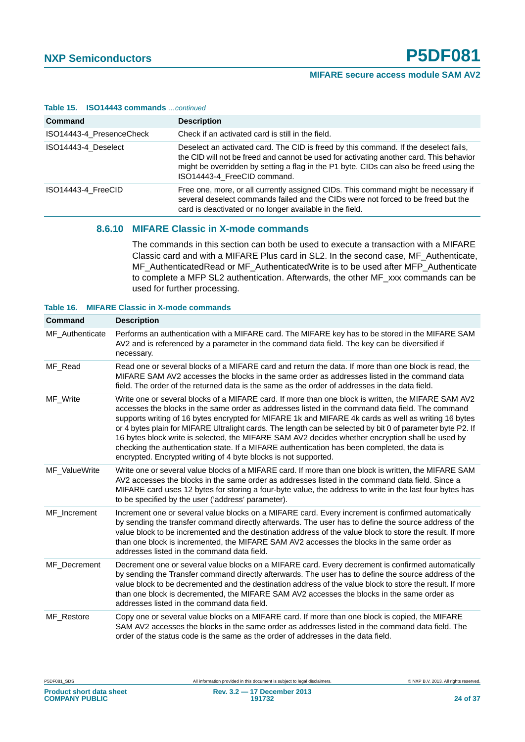| <b>Table 15. ISO14443 Commands</b> <i>continued</i> |                                                                                                                                                                                                                                                                                                          |  |  |  |
|-----------------------------------------------------|----------------------------------------------------------------------------------------------------------------------------------------------------------------------------------------------------------------------------------------------------------------------------------------------------------|--|--|--|
| Command                                             | <b>Description</b>                                                                                                                                                                                                                                                                                       |  |  |  |
| ISO14443-4 PresenceCheck                            | Check if an activated card is still in the field.                                                                                                                                                                                                                                                        |  |  |  |
| ISO14443-4 Deselect                                 | Deselect an activated card. The CID is freed by this command. If the deselect fails,<br>the CID will not be freed and cannot be used for activating another card. This behavior<br>might be overridden by setting a flag in the P1 byte. CIDs can also be freed using the<br>ISO14443-4 FreeCID command. |  |  |  |
| ISO14443-4 FreeCID                                  | Free one, more, or all currently assigned CIDs. This command might be necessary if<br>several deselect commands failed and the CIDs were not forced to be freed but the<br>card is deactivated or no longer available in the field.                                                                      |  |  |  |

#### **Table 15. ISO14443 commands** *…continued*

#### <span id="page-23-1"></span>**8.6.10 MIFARE Classic in X-mode commands**

The commands in this section can both be used to execute a transaction with a MIFARE Classic card and with a MIFARE Plus card in SL2. In the second case, MF\_Authenticate, MF\_AuthenticatedRead or MF\_AuthenticatedWrite is to be used after MFP\_Authenticate to complete a MFP SL2 authentication. Afterwards, the other MF\_xxx commands can be used for further processing.

#### <span id="page-23-0"></span>**Table 16. MIFARE Classic in X-mode commands**

| Command         | <b>Description</b>                                                                                                                                                                                                                                                                                                                                                                                                                                                                                                                                                                                                                                                                                    |
|-----------------|-------------------------------------------------------------------------------------------------------------------------------------------------------------------------------------------------------------------------------------------------------------------------------------------------------------------------------------------------------------------------------------------------------------------------------------------------------------------------------------------------------------------------------------------------------------------------------------------------------------------------------------------------------------------------------------------------------|
| MF_Authenticate | Performs an authentication with a MIFARE card. The MIFARE key has to be stored in the MIFARE SAM<br>AV2 and is referenced by a parameter in the command data field. The key can be diversified if<br>necessary.                                                                                                                                                                                                                                                                                                                                                                                                                                                                                       |
| MF Read         | Read one or several blocks of a MIFARE card and return the data. If more than one block is read, the<br>MIFARE SAM AV2 accesses the blocks in the same order as addresses listed in the command data<br>field. The order of the returned data is the same as the order of addresses in the data field.                                                                                                                                                                                                                                                                                                                                                                                                |
| MF_Write        | Write one or several blocks of a MIFARE card. If more than one block is written, the MIFARE SAM AV2<br>accesses the blocks in the same order as addresses listed in the command data field. The command<br>supports writing of 16 bytes encrypted for MIFARE 1k and MIFARE 4k cards as well as writing 16 bytes<br>or 4 bytes plain for MIFARE Ultralight cards. The length can be selected by bit 0 of parameter byte P2. If<br>16 bytes block write is selected, the MIFARE SAM AV2 decides whether encryption shall be used by<br>checking the authentication state. If a MIFARE authentication has been completed, the data is<br>encrypted. Encrypted writing of 4 byte blocks is not supported. |
| MF ValueWrite   | Write one or several value blocks of a MIFARE card. If more than one block is written, the MIFARE SAM<br>AV2 accesses the blocks in the same order as addresses listed in the command data field. Since a<br>MIFARE card uses 12 bytes for storing a four-byte value, the address to write in the last four bytes has<br>to be specified by the user ('address' parameter).                                                                                                                                                                                                                                                                                                                           |
| MF Increment    | Increment one or several value blocks on a MIFARE card. Every increment is confirmed automatically<br>by sending the transfer command directly afterwards. The user has to define the source address of the<br>value block to be incremented and the destination address of the value block to store the result. If more<br>than one block is incremented, the MIFARE SAM AV2 accesses the blocks in the same order as<br>addresses listed in the command data field.                                                                                                                                                                                                                                 |
| MF Decrement    | Decrement one or several value blocks on a MIFARE card. Every decrement is confirmed automatically<br>by sending the Transfer command directly afterwards. The user has to define the source address of the<br>value block to be decremented and the destination address of the value block to store the result. If more<br>than one block is decremented, the MIFARE SAM AV2 accesses the blocks in the same order as<br>addresses listed in the command data field.                                                                                                                                                                                                                                 |
| MF Restore      | Copy one or several value blocks on a MIFARE card. If more than one block is copied, the MIFARE<br>SAM AV2 accesses the blocks in the same order as addresses listed in the command data field. The<br>order of the status code is the same as the order of addresses in the data field.                                                                                                                                                                                                                                                                                                                                                                                                              |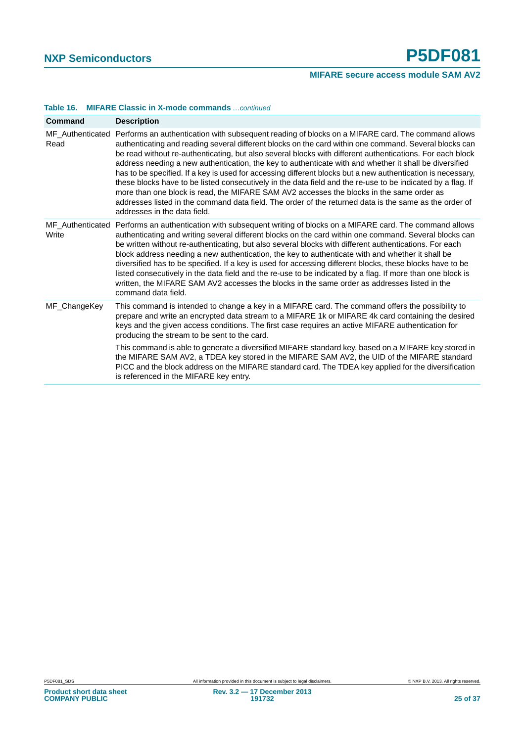| <b>MIFARE Classic in X-mode commands</b> continued | Table 16. |  |  |  |  |
|----------------------------------------------------|-----------|--|--|--|--|
|----------------------------------------------------|-----------|--|--|--|--|

| Command      | <b>Description</b>                                                                                                                                                                                                                                                                                                                                                                                                                                                                                                                                                                                                                                                                                                                                                                                                                                                                                                      |
|--------------|-------------------------------------------------------------------------------------------------------------------------------------------------------------------------------------------------------------------------------------------------------------------------------------------------------------------------------------------------------------------------------------------------------------------------------------------------------------------------------------------------------------------------------------------------------------------------------------------------------------------------------------------------------------------------------------------------------------------------------------------------------------------------------------------------------------------------------------------------------------------------------------------------------------------------|
| Read         | MF_Authenticated Performs an authentication with subsequent reading of blocks on a MIFARE card. The command allows<br>authenticating and reading several different blocks on the card within one command. Several blocks can<br>be read without re-authenticating, but also several blocks with different authentications. For each block<br>address needing a new authentication, the key to authenticate with and whether it shall be diversified<br>has to be specified. If a key is used for accessing different blocks but a new authentication is necessary,<br>these blocks have to be listed consecutively in the data field and the re-use to be indicated by a flag. If<br>more than one block is read, the MIFARE SAM AV2 accesses the blocks in the same order as<br>addresses listed in the command data field. The order of the returned data is the same as the order of<br>addresses in the data field. |
| Write        | MF_Authenticated Performs an authentication with subsequent writing of blocks on a MIFARE card. The command allows<br>authenticating and writing several different blocks on the card within one command. Several blocks can<br>be written without re-authenticating, but also several blocks with different authentications. For each<br>block address needing a new authentication, the key to authenticate with and whether it shall be<br>diversified has to be specified. If a key is used for accessing different blocks, these blocks have to be<br>listed consecutively in the data field and the re-use to be indicated by a flag. If more than one block is<br>written, the MIFARE SAM AV2 accesses the blocks in the same order as addresses listed in the<br>command data field.                                                                                                                            |
| MF_ChangeKey | This command is intended to change a key in a MIFARE card. The command offers the possibility to<br>prepare and write an encrypted data stream to a MIFARE 1k or MIFARE 4k card containing the desired<br>keys and the given access conditions. The first case requires an active MIFARE authentication for<br>producing the stream to be sent to the card.                                                                                                                                                                                                                                                                                                                                                                                                                                                                                                                                                             |
|              | This command is able to generate a diversified MIFARE standard key, based on a MIFARE key stored in<br>the MIFARE SAM AV2, a TDEA key stored in the MIFARE SAM AV2, the UID of the MIFARE standard<br>PICC and the block address on the MIFARE standard card. The TDEA key applied for the diversification<br>is referenced in the MIFARE key entry.                                                                                                                                                                                                                                                                                                                                                                                                                                                                                                                                                                    |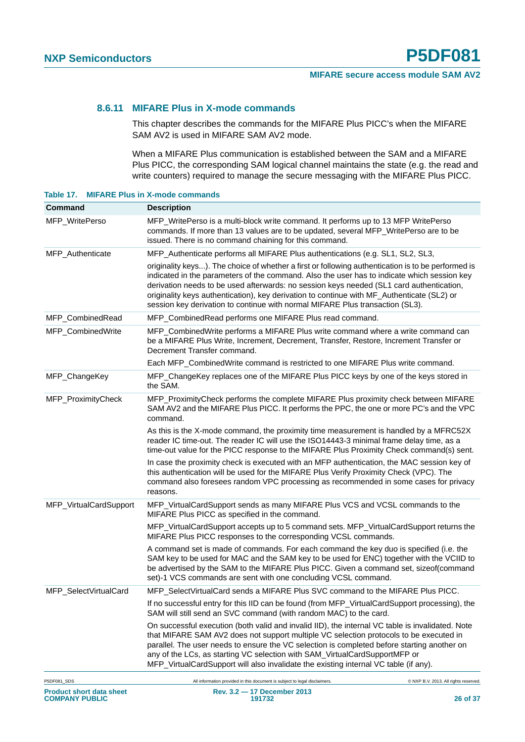#### <span id="page-25-1"></span>**8.6.11 MIFARE Plus in X-mode commands**

This chapter describes the commands for the MIFARE Plus PICC's when the MIFARE SAM AV2 is used in MIFARE SAM AV2 mode.

When a MIFARE Plus communication is established between the SAM and a MIFARE Plus PICC, the corresponding SAM logical channel maintains the state (e.g. the read and write counters) required to manage the secure messaging with the MIFARE Plus PICC.

<span id="page-25-0"></span>**Table 17. MIFARE Plus in X-mode commands**

| Command                | <b>Description</b>                                                                                                                                                                                                                                                                                                                                                                                                                                                           |
|------------------------|------------------------------------------------------------------------------------------------------------------------------------------------------------------------------------------------------------------------------------------------------------------------------------------------------------------------------------------------------------------------------------------------------------------------------------------------------------------------------|
| MFP_WritePerso         | MFP_WritePerso is a multi-block write command. It performs up to 13 MFP WritePerso<br>commands. If more than 13 values are to be updated, several MFP_WritePerso are to be<br>issued. There is no command chaining for this command.                                                                                                                                                                                                                                         |
| MFP_Authenticate       | MFP_Authenticate performs all MIFARE Plus authentications (e.g. SL1, SL2, SL3,                                                                                                                                                                                                                                                                                                                                                                                               |
|                        | originality keys). The choice of whether a first or following authentication is to be performed is<br>indicated in the parameters of the command. Also the user has to indicate which session key<br>derivation needs to be used afterwards: no session keys needed (SL1 card authentication,<br>originality keys authentication), key derivation to continue with MF_Authenticate (SL2) or<br>session key derivation to continue with normal MIFARE Plus transaction (SL3). |
| MFP_CombinedRead       | MFP_CombinedRead performs one MIFARE Plus read command.                                                                                                                                                                                                                                                                                                                                                                                                                      |
| MFP_CombinedWrite      | MFP_CombinedWrite performs a MIFARE Plus write command where a write command can<br>be a MIFARE Plus Write, Increment, Decrement, Transfer, Restore, Increment Transfer or<br>Decrement Transfer command.                                                                                                                                                                                                                                                                    |
|                        | Each MFP_CombinedWrite command is restricted to one MIFARE Plus write command.                                                                                                                                                                                                                                                                                                                                                                                               |
| MFP_ChangeKey          | MFP_ChangeKey replaces one of the MIFARE Plus PICC keys by one of the keys stored in<br>the SAM.                                                                                                                                                                                                                                                                                                                                                                             |
| MFP_ProximityCheck     | MFP_ProximityCheck performs the complete MIFARE Plus proximity check between MIFARE<br>SAM AV2 and the MIFARE Plus PICC. It performs the PPC, the one or more PC's and the VPC<br>command.                                                                                                                                                                                                                                                                                   |
|                        | As this is the X-mode command, the proximity time measurement is handled by a MFRC52X<br>reader IC time-out. The reader IC will use the ISO14443-3 minimal frame delay time, as a<br>time-out value for the PICC response to the MIFARE Plus Proximity Check command(s) sent.                                                                                                                                                                                                |
|                        | In case the proximity check is executed with an MFP authentication, the MAC session key of<br>this authentication will be used for the MIFARE Plus Verify Proximity Check (VPC). The<br>command also foresees random VPC processing as recommended in some cases for privacy<br>reasons.                                                                                                                                                                                     |
| MFP_VirtualCardSupport | MFP_VirtualCardSupport sends as many MIFARE Plus VCS and VCSL commands to the<br>MIFARE Plus PICC as specified in the command.                                                                                                                                                                                                                                                                                                                                               |
|                        | MFP_VirtualCardSupport accepts up to 5 command sets. MFP_VirtualCardSupport returns the<br>MIFARE Plus PICC responses to the corresponding VCSL commands.                                                                                                                                                                                                                                                                                                                    |
|                        | A command set is made of commands. For each command the key duo is specified (i.e. the<br>SAM key to be used for MAC and the SAM key to be used for ENC) together with the VCIID to<br>be advertised by the SAM to the MIFARE Plus PICC. Given a command set, sizeof(command<br>set)-1 VCS commands are sent with one concluding VCSL command.                                                                                                                               |
| MFP_SelectVirtualCard  | MFP_SelectVirtualCard sends a MIFARE Plus SVC command to the MIFARE Plus PICC.                                                                                                                                                                                                                                                                                                                                                                                               |
|                        | If no successful entry for this IID can be found (from MFP_VirtualCardSupport processing), the<br>SAM will still send an SVC command (with random MAC) to the card.                                                                                                                                                                                                                                                                                                          |
|                        | On successful execution (both valid and invalid IID), the internal VC table is invalidated. Note<br>that MIFARE SAM AV2 does not support multiple VC selection protocols to be executed in<br>parallel. The user needs to ensure the VC selection is completed before starting another on<br>any of the LCs, as starting VC selection with SAM_VirtualCardSupportMFP or<br>MFP_VirtualCardSupport will also invalidate the existing internal VC table (if any).              |
|                        |                                                                                                                                                                                                                                                                                                                                                                                                                                                                              |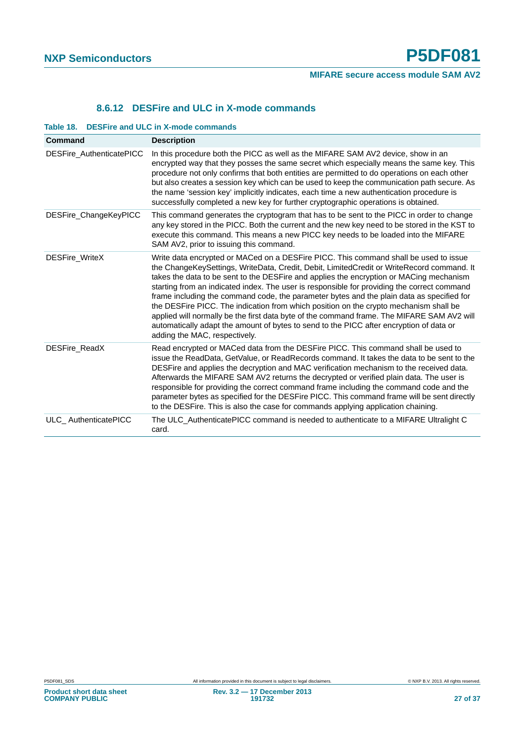#### **8.6.12 DESFire and ULC in X-mode commands**

| Command                  | <b>Description</b>                                                                                                                                                                                                                                                                                                                                                                                                                                                                                                                                                                                                                                                                                                                                                                          |
|--------------------------|---------------------------------------------------------------------------------------------------------------------------------------------------------------------------------------------------------------------------------------------------------------------------------------------------------------------------------------------------------------------------------------------------------------------------------------------------------------------------------------------------------------------------------------------------------------------------------------------------------------------------------------------------------------------------------------------------------------------------------------------------------------------------------------------|
| DESFire_AuthenticatePICC | In this procedure both the PICC as well as the MIFARE SAM AV2 device, show in an<br>encrypted way that they posses the same secret which especially means the same key. This<br>procedure not only confirms that both entities are permitted to do operations on each other<br>but also creates a session key which can be used to keep the communication path secure. As<br>the name 'session key' implicitly indicates, each time a new authentication procedure is<br>successfully completed a new key for further cryptographic operations is obtained.                                                                                                                                                                                                                                 |
| DESFire_ChangeKeyPICC    | This command generates the cryptogram that has to be sent to the PICC in order to change<br>any key stored in the PICC. Both the current and the new key need to be stored in the KST to<br>execute this command. This means a new PICC key needs to be loaded into the MIFARE<br>SAM AV2, prior to issuing this command.                                                                                                                                                                                                                                                                                                                                                                                                                                                                   |
| <b>DESFire WriteX</b>    | Write data encrypted or MACed on a DESFire PICC. This command shall be used to issue<br>the ChangeKeySettings, WriteData, Credit, Debit, LimitedCredit or WriteRecord command. It<br>takes the data to be sent to the DESFire and applies the encryption or MACing mechanism<br>starting from an indicated index. The user is responsible for providing the correct command<br>frame including the command code, the parameter bytes and the plain data as specified for<br>the DESFire PICC. The indication from which position on the crypto mechanism shall be<br>applied will normally be the first data byte of the command frame. The MIFARE SAM AV2 will<br>automatically adapt the amount of bytes to send to the PICC after encryption of data or<br>adding the MAC, respectively. |
| DESFire_ReadX            | Read encrypted or MACed data from the DESFire PICC. This command shall be used to<br>issue the ReadData, GetValue, or ReadRecords command. It takes the data to be sent to the<br>DESFire and applies the decryption and MAC verification mechanism to the received data.<br>Afterwards the MIFARE SAM AV2 returns the decrypted or verified plain data. The user is<br>responsible for providing the correct command frame including the command code and the<br>parameter bytes as specified for the DESFire PICC. This command frame will be sent directly<br>to the DESFire. This is also the case for commands applying application chaining.                                                                                                                                          |
| ULC_AuthenticatePICC     | The ULC_AuthenticatePICC command is needed to authenticate to a MIFARE Ultralight C<br>card.                                                                                                                                                                                                                                                                                                                                                                                                                                                                                                                                                                                                                                                                                                |

#### <span id="page-26-1"></span><span id="page-26-0"></span>**Table 18. DESFire and ULC in X-mode commands**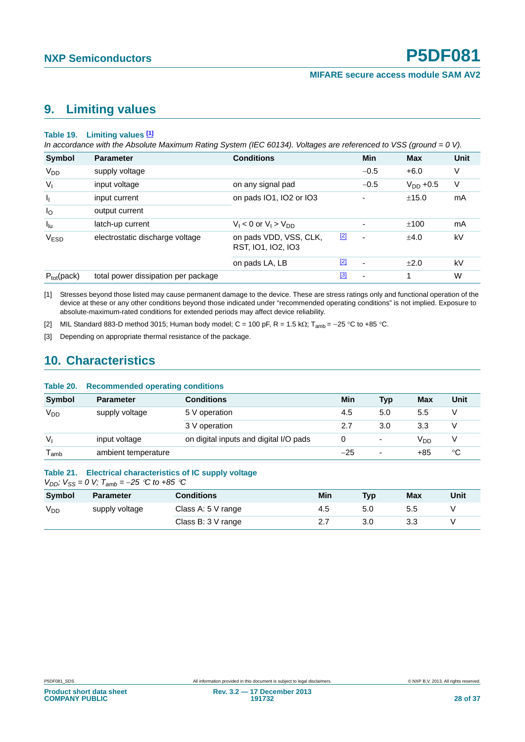## <span id="page-27-3"></span>**9. Limiting values**

#### <span id="page-27-0"></span>**Table 19. Limiting values [1]**

*In accordance with the Absolute Maximum Rating System (IEC 60134). Voltages are referenced to VSS (ground = 0 V).*

| <b>Symbol</b>                 | <b>Parameter</b>                    | <b>Conditions</b>                            |       | Min            | <b>Max</b>    | <b>Unit</b> |
|-------------------------------|-------------------------------------|----------------------------------------------|-------|----------------|---------------|-------------|
| $V_{DD}$                      | supply voltage                      |                                              |       | $-0.5$         | $+6.0$        | V           |
| $V_{I}$                       | input voltage                       | on any signal pad                            |       | $-0.5$         | $V_{DD}$ +0.5 | V           |
| $\mathbf{I}_{\mathbf{I}}$     | input current                       | on pads IO1, IO2 or IO3                      |       |                | ±15.0         | mA          |
| $I_{\rm O}$                   | output current                      |                                              |       |                |               |             |
| $I_{\text{lu}}$               | latch-up current                    | $V_1 < 0$ or $V_1 > V_{DD}$                  |       |                | ±100          | mA          |
| V <sub>ESD</sub>              | electrostatic discharge voltage     | on pads VDD, VSS, CLK,<br>RST, IO1, IO2, IO3 | $[2]$ |                | ±4.0          | kV          |
|                               |                                     | on pads LA, LB                               | [2]   | $\overline{a}$ | $+2.0$        | kV          |
| $P_{\text{tot}}(\text{pack})$ | total power dissipation per package |                                              | $[3]$ | ٠              | 1             | W           |

[1] Stresses beyond those listed may cause permanent damage to the device. These are stress ratings only and functional operation of the device at these or any other conditions beyond those indicated under "recommended operating conditions" is not implied. Exposure to absolute-maximum-rated conditions for extended periods may affect device reliability.

[2] MIL Standard 883-D method 3015; Human body model; C = 100 pF, R = 1.5 k $\Omega$ ; T<sub>amb</sub> = -25 °C to +85 °C.

[3] Depending on appropriate thermal resistance of the package.

## <span id="page-27-4"></span>**10. Characteristics**

<span id="page-27-1"></span>

| Table 20.          | <b>Recommended operating conditions</b> |                                        |       |                          |                 |      |
|--------------------|-----------------------------------------|----------------------------------------|-------|--------------------------|-----------------|------|
| <b>Symbol</b>      | <b>Parameter</b>                        | <b>Conditions</b>                      | Min   | Typ                      | Max             | Unit |
| V <sub>DD</sub>    | supply voltage                          | 5 V operation                          | 4.5   | 5.0                      | 5.5             | V    |
|                    |                                         | 3 V operation                          | 2.7   | 3.0                      | 3.3             | V    |
| V <sub>1</sub>     | input voltage                           | on digital inputs and digital I/O pads |       | -                        | V <sub>DD</sub> | V    |
| $T_{\mathsf{amb}}$ | ambient temperature                     |                                        | $-25$ | $\overline{\phantom{0}}$ | +85             | °C   |

#### <span id="page-27-2"></span>**Table 21. Electrical characteristics of IC supply voltage**

*V<sub>DD</sub>*;  $V_{SS} = 0$  *V*;  $T_{amb} = -25$  <sup>*C*</sup> *to* +85 <sup>*C*</sup>

| <b>Symbol</b> | <b>Parameter</b> | <b>Conditions</b>       | Min | <b>Typ</b> | <b>Max</b> | Unit |
|---------------|------------------|-------------------------|-----|------------|------------|------|
| $V_{DD}$      | supply voltage   | Class A: $5 \vee$ range | 4.5 | 5.0        | 5.5        |      |
|               |                  | Class B: 3 V range      |     |            | 3.3        |      |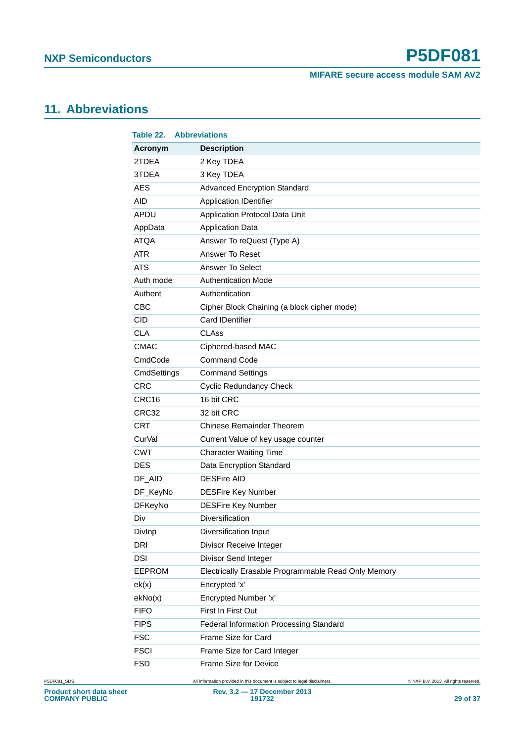### **MIFARE secure access module SAM AV2**

## <span id="page-28-1"></span>**11. Abbreviations**

<span id="page-28-0"></span>

| Table 22.      | <b>Abbreviations</b>                                |
|----------------|-----------------------------------------------------|
| Acronym        | <b>Description</b>                                  |
| 2TDEA          | 2 Key TDEA                                          |
| 3TDEA          | 3 Key TDEA                                          |
| <b>AES</b>     | <b>Advanced Encryption Standard</b>                 |
| <b>AID</b>     | <b>Application IDentifier</b>                       |
| APDU           | Application Protocol Data Unit                      |
| AppData        | <b>Application Data</b>                             |
| <b>ATQA</b>    | Answer To reQuest (Type A)                          |
| <b>ATR</b>     | Answer To Reset                                     |
| <b>ATS</b>     | Answer To Select                                    |
| Auth mode      | <b>Authentication Mode</b>                          |
| Authent        | Authentication                                      |
| <b>CBC</b>     | Cipher Block Chaining (a block cipher mode)         |
| <b>CID</b>     | <b>Card IDentifier</b>                              |
| <b>CLA</b>     | <b>CLAss</b>                                        |
| <b>CMAC</b>    | Ciphered-based MAC                                  |
| CmdCode        | <b>Command Code</b>                                 |
| CmdSettings    | <b>Command Settings</b>                             |
| <b>CRC</b>     | <b>Cyclic Redundancy Check</b>                      |
| CRC16          | 16 bit CRC                                          |
| CRC32          | 32 bit CRC                                          |
| <b>CRT</b>     | <b>Chinese Remainder Theorem</b>                    |
| CurVal         | Current Value of key usage counter                  |
| CWT            | <b>Character Waiting Time</b>                       |
| <b>DES</b>     | Data Encryption Standard                            |
| DF_AID         | <b>DESFire AID</b>                                  |
| DF_KeyNo       | <b>DESFire Key Number</b>                           |
| <b>DFKeyNo</b> | <b>DESFire Key Number</b>                           |
| Div            | Diversification                                     |
| Divlnp         | Diversification Input                               |
| <b>DRI</b>     | Divisor Receive Integer                             |
| <b>DSI</b>     | Divisor Send Integer                                |
| <b>EEPROM</b>  | Electrically Erasable Programmable Read Only Memory |
| ek(x)          | Encrypted 'x'                                       |
| ekNo(x)        | Encrypted Number 'x'                                |
| <b>FIFO</b>    | First In First Out                                  |
| <b>FIPS</b>    | Federal Information Processing Standard             |
| <b>FSC</b>     | Frame Size for Card                                 |
| <b>FSCI</b>    | Frame Size for Card Integer                         |
| <b>FSD</b>     | Frame Size for Device                               |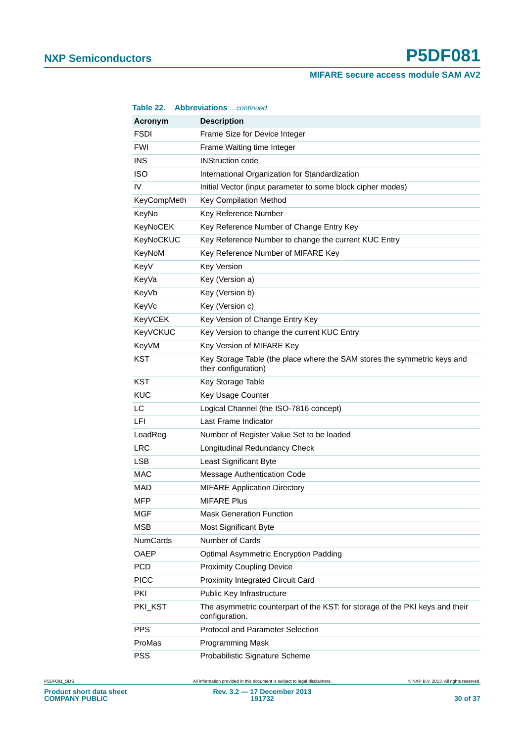### **MIFARE secure access module SAM AV2**

| Table 22.          | <b>Abbreviations</b> continued                                                                   |
|--------------------|--------------------------------------------------------------------------------------------------|
| Acronym            | <b>Description</b>                                                                               |
| <b>FSDI</b>        | Frame Size for Device Integer                                                                    |
| <b>FWI</b>         | Frame Waiting time Integer                                                                       |
| <b>INS</b>         | <b>INStruction code</b>                                                                          |
| <b>ISO</b>         | International Organization for Standardization                                                   |
| IV                 | Initial Vector (input parameter to some block cipher modes)                                      |
| <b>KeyCompMeth</b> | Key Compilation Method                                                                           |
| KeyNo              | Key Reference Number                                                                             |
| KeyNoCEK           | Key Reference Number of Change Entry Key                                                         |
| KeyNoCKUC          | Key Reference Number to change the current KUC Entry                                             |
| KeyNoM             | Key Reference Number of MIFARE Key                                                               |
| KeyV               | <b>Key Version</b>                                                                               |
| KeyVa              | Key (Version a)                                                                                  |
| KeyVb              | Key (Version b)                                                                                  |
| KeyVc              | Key (Version c)                                                                                  |
| KeyVCEK            | Key Version of Change Entry Key                                                                  |
| KeyVCKUC           | Key Version to change the current KUC Entry                                                      |
| KeyVM              | Key Version of MIFARE Key                                                                        |
| <b>KST</b>         | Key Storage Table (the place where the SAM stores the symmetric keys and<br>their configuration) |
| <b>KST</b>         | Key Storage Table                                                                                |
| <b>KUC</b>         | Key Usage Counter                                                                                |
| LC                 | Logical Channel (the ISO-7816 concept)                                                           |
| LFI                | Last Frame Indicator                                                                             |
| LoadReg            | Number of Register Value Set to be loaded                                                        |
| <b>LRC</b>         | Longitudinal Redundancy Check                                                                    |
| <b>LSB</b>         | Least Significant Byte                                                                           |
| <b>MAC</b>         | Message Authentication Code                                                                      |
| MAD                | <b>MIFARE Application Directory</b>                                                              |
| MFP                | <b>MIFARE Plus</b>                                                                               |
| <b>MGF</b>         | <b>Mask Generation Function</b>                                                                  |
| <b>MSB</b>         | <b>Most Significant Byte</b>                                                                     |
| <b>NumCards</b>    | Number of Cards                                                                                  |
| <b>OAEP</b>        | <b>Optimal Asymmetric Encryption Padding</b>                                                     |
| <b>PCD</b>         | <b>Proximity Coupling Device</b>                                                                 |
| <b>PICC</b>        | Proximity Integrated Circuit Card                                                                |
| PKI                | Public Key Infrastructure                                                                        |
| PKI_KST            | The asymmetric counterpart of the KST: for storage of the PKI keys and their<br>configuration.   |
| <b>PPS</b>         | Protocol and Parameter Selection                                                                 |
| ProMas             | Programming Mask                                                                                 |
| <b>PSS</b>         | Probabilistic Signature Scheme                                                                   |

P5DF081\_SDS All information provided in this document is subject to legal disclaimers. © NXP B.V. 2013. All rights reserved.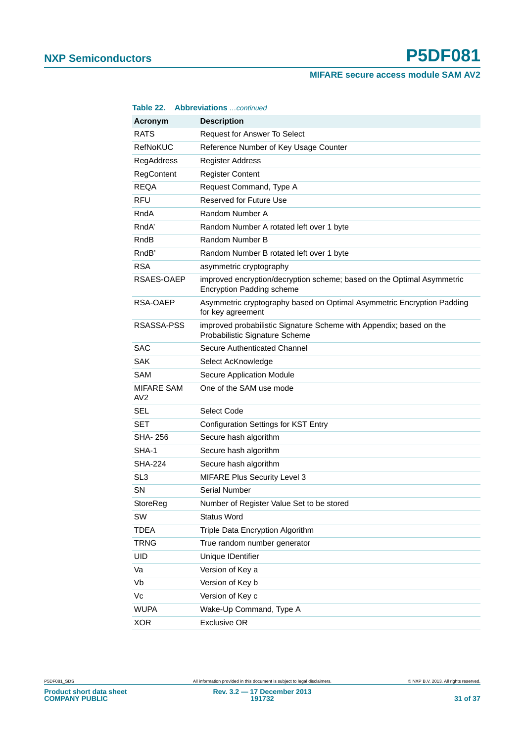### **MIFARE secure access module SAM AV2**

| Table 22.                | <b>Abbreviations</b> continued                                                                             |
|--------------------------|------------------------------------------------------------------------------------------------------------|
| Acronym                  | <b>Description</b>                                                                                         |
| <b>RATS</b>              | Request for Answer To Select                                                                               |
| <b>RefNoKUC</b>          | Reference Number of Key Usage Counter                                                                      |
| <b>RegAddress</b>        | <b>Register Address</b>                                                                                    |
| RegContent               | <b>Register Content</b>                                                                                    |
| <b>REQA</b>              | Request Command, Type A                                                                                    |
| <b>RFU</b>               | Reserved for Future Use                                                                                    |
| RndA                     | Random Number A                                                                                            |
| RndA'                    | Random Number A rotated left over 1 byte                                                                   |
| RndB                     | Random Number B                                                                                            |
| RndB'                    | Random Number B rotated left over 1 byte                                                                   |
| <b>RSA</b>               | asymmetric cryptography                                                                                    |
| RSAES-OAEP               | improved encryption/decryption scheme; based on the Optimal Asymmetric<br><b>Encryption Padding scheme</b> |
| RSA-OAEP                 | Asymmetric cryptography based on Optimal Asymmetric Encryption Padding<br>for key agreement                |
| RSASSA-PSS               | improved probabilistic Signature Scheme with Appendix; based on the<br>Probabilistic Signature Scheme      |
| <b>SAC</b>               | Secure Authenticated Channel                                                                               |
| SAK                      | Select AcKnowledge                                                                                         |
| SAM                      | <b>Secure Application Module</b>                                                                           |
| <b>MIFARE SAM</b><br>AV2 | One of the SAM use mode                                                                                    |
| <b>SEL</b>               | Select Code                                                                                                |
| <b>SET</b>               | <b>Configuration Settings for KST Entry</b>                                                                |
| <b>SHA-256</b>           | Secure hash algorithm                                                                                      |
| SHA-1                    | Secure hash algorithm                                                                                      |
| <b>SHA-224</b>           | Secure hash algorithm                                                                                      |
| SL <sub>3</sub>          | <b>MIFARE Plus Security Level 3</b>                                                                        |
| <b>SN</b>                | Serial Number                                                                                              |
| StoreReg                 | Number of Register Value Set to be stored                                                                  |
| SW                       | <b>Status Word</b>                                                                                         |
| <b>TDEA</b>              | Triple Data Encryption Algorithm                                                                           |
| <b>TRNG</b>              | True random number generator                                                                               |
| UID                      | Unique IDentifier                                                                                          |
| Va                       | Version of Key a                                                                                           |
| Vb                       | Version of Key b                                                                                           |
| Vc                       | Version of Key c                                                                                           |
| <b>WUPA</b>              | Wake-Up Command, Type A                                                                                    |
| <b>XOR</b>               | <b>Exclusive OR</b>                                                                                        |

**Product short data sheet COMPANY PUBLIC**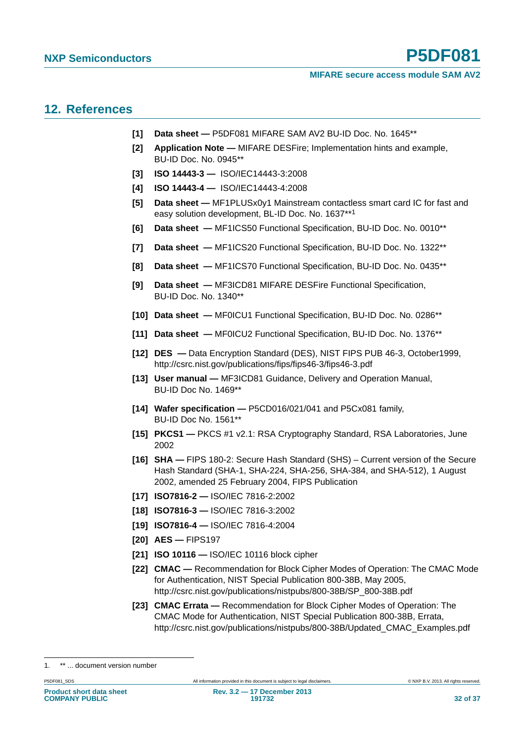## <span id="page-31-0"></span>**12. References**

- **[1] Data sheet** P5DF081 MIFARE SAM AV2 BU-ID Doc. No. 1645\*\*
- **[2] Application Note** MIFARE DESFire; Implementation hints and example, BU-ID Doc. No. 0945\*\*
- **[3] ISO 14443-3** ISO/IEC14443-3:2008
- **[4] ISO 14443-4** ISO/IEC14443-4:2008
- **[5] Data sheet** MF1PLUSx0y1 Mainstream contactless smart card IC for fast and easy solution development, BL-ID Doc. No. 1637\*\*<sup>1</sup>
- **[6] Data sheet** MF1ICS50 Functional Specification, BU-ID Doc. No. 0010\*\*
- **[7] Data sheet** MF1ICS20 Functional Specification, BU-ID Doc. No. 1322\*\*
- **[8] Data sheet** MF1ICS70 Functional Specification, BU-ID Doc. No. 0435\*\*
- **[9] Data sheet** MF3ICD81 MIFARE DESFire Functional Specification, BU-ID Doc. No. 1340\*\*
- **[10] Data sheet** MF0ICU1 Functional Specification, BU-ID Doc. No. 0286\*\*
- **[11] Data sheet** MF0ICU2 Functional Specification, BU-ID Doc. No. 1376\*\*
- **[12] DES** Data Encryption Standard (DES), NIST FIPS PUB 46-3, October1999, http://csrc.nist.gov/publications/fips/fips46-3/fips46-3.pdf
- **[13] User manual** MF3ICD81 Guidance, Delivery and Operation Manual, BU-ID Doc No. 1469\*\*
- **[14] Wafer specification** P5CD016/021/041 and P5Cx081 family, BU-ID Doc No. 1561\*\*
- **[15] PKCS1** PKCS #1 v2.1: RSA Cryptography Standard, RSA Laboratories, June 2002
- **[16] SHA** FIPS 180-2: Secure Hash Standard (SHS) Current version of the Secure Hash Standard (SHA-1, SHA-224, SHA-256, SHA-384, and SHA-512), 1 August 2002, amended 25 February 2004, FIPS Publication
- **[17] ISO7816-2** ISO/IEC 7816-2:2002
- **[18] ISO7816-3** ISO/IEC 7816-3:2002
- **[19] ISO7816-4** ISO/IEC 7816-4:2004
- **[20] AES** FIPS197
- **[21] ISO 10116** ISO/IEC 10116 block cipher
- **[22] CMAC** Recommendation for Block Cipher Modes of Operation: The CMAC Mode for Authentication, NIST Special Publication 800-38B, May 2005, http://csrc.nist.gov/publications/nistpubs/800-38B/SP\_800-38B.pdf
- **[23] CMAC Errata** Recommendation for Block Cipher Modes of Operation: The CMAC Mode for Authentication, NIST Special Publication 800-38B, Errata, http://csrc.nist.gov/publications/nistpubs/800-38B/Updated\_CMAC\_Examples.pdf

P5DF081\_SDS PERSON All information provided in this document is subject to legal disclaimers. 
PERSON ALL TONS TRIGHTS RESERVED.

<sup>1. \*\* ...</sup> document version number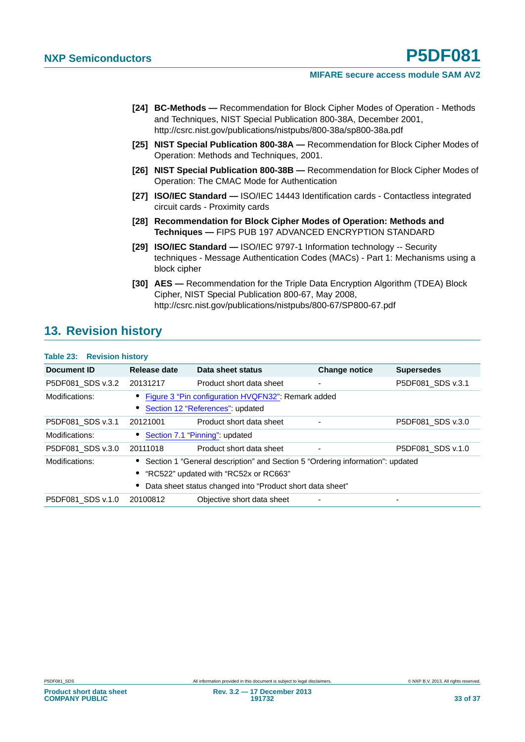- **[24] BC-Methods** Recommendation for Block Cipher Modes of Operation Methods and Techniques, NIST Special Publication 800-38A, December 2001, http://csrc.nist.gov/publications/nistpubs/800-38a/sp800-38a.pdf
- **[25] NIST Special Publication 800-38A** Recommendation for Block Cipher Modes of Operation: Methods and Techniques, 2001.
- **[26] NIST Special Publication 800-38B** Recommendation for Block Cipher Modes of Operation: The CMAC Mode for Authentication
- **[27] ISO/IEC Standard** ISO/IEC 14443 Identification cards Contactless integrated circuit cards - Proximity cards
- **[28] Recommendation for Block Cipher Modes of Operation: Methods and Techniques —** FIPS PUB 197 ADVANCED ENCRYPTION STANDARD
- **[29] ISO/IEC Standard** ISO/IEC 9797-1 Information technology -- Security techniques - Message Authentication Codes (MACs) - Part 1: Mechanisms using a block cipher
- **[30] AES** Recommendation for the Triple Data Encryption Algorithm (TDEA) Block Cipher, NIST Special Publication 800-67, May 2008, http://csrc.nist.gov/publications/nistpubs/800-67/SP800-67.pdf

## <span id="page-32-1"></span>**13. Revision history**

<span id="page-32-0"></span>

| <b>Table 23: Revision history</b> |              |                                                                               |                      |                          |
|-----------------------------------|--------------|-------------------------------------------------------------------------------|----------------------|--------------------------|
| Document ID                       | Release date | Data sheet status                                                             | <b>Change notice</b> | <b>Supersedes</b>        |
| P5DF081 SDS v.3.2                 | 20131217     | Product short data sheet                                                      |                      | P5DF081_SDS v.3.1        |
| Modifications:                    |              | Figure 3 "Pin configuration HVQFN32": Remark added                            |                      |                          |
|                                   |              | Section 12 "References": updated                                              |                      |                          |
| P5DF081 SDS v.3.1                 | 20121001     | Product short data sheet                                                      |                      | P5DF081 SDS v.3.0        |
| Modifications:                    |              | Section 7.1 "Pinning": updated                                                |                      |                          |
| P5DF081 SDS v.3.0                 | 20111018     | Product short data sheet                                                      |                      | P5DF081_SDS v.1.0        |
| Modifications:                    |              | Section 1 "General description" and Section 5 "Ordering information": updated |                      |                          |
|                                   |              | "RC522" updated with "RC52x or RC663"                                         |                      |                          |
|                                   |              | Data sheet status changed into "Product short data sheet"                     |                      |                          |
| P5DF081 SDS v.1.0                 | 20100812     | Objective short data sheet                                                    |                      | $\overline{\phantom{0}}$ |

**Product short data sheet COMPANY PUBLIC**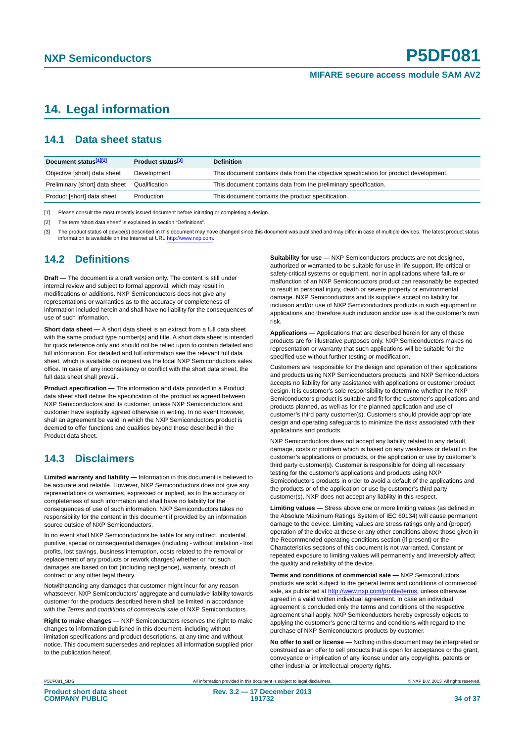## <span id="page-33-3"></span>**14. Legal information**

#### <span id="page-33-4"></span>**14.1 Data sheet status**

| Document status[1][2]          | Product status <sup>[3]</sup> | <b>Definition</b>                                                                     |
|--------------------------------|-------------------------------|---------------------------------------------------------------------------------------|
| Objective [short] data sheet   | Development                   | This document contains data from the objective specification for product development. |
| Preliminary [short] data sheet | Qualification                 | This document contains data from the preliminary specification.                       |
| Product [short] data sheet     | Production                    | This document contains the product specification.                                     |

<span id="page-33-0"></span>[1] Please consult the most recently issued document before initiating or completing a design.

<span id="page-33-1"></span>[2] The term 'short data sheet' is explained in section "Definitions".

<span id="page-33-2"></span>[3] The product status of device(s) described in this document may have changed since this document was published and may differ in case of multiple devices. The latest product status<br>information is available on the Intern

#### <span id="page-33-5"></span>**14.2 Definitions**

**Draft —** The document is a draft version only. The content is still under internal review and subject to formal approval, which may result in modifications or additions. NXP Semiconductors does not give any representations or warranties as to the accuracy or completeness of information included herein and shall have no liability for the consequences of use of such information.

**Short data sheet —** A short data sheet is an extract from a full data sheet with the same product type number(s) and title. A short data sheet is intended for quick reference only and should not be relied upon to contain detailed and full information. For detailed and full information see the relevant full data sheet, which is available on request via the local NXP Semiconductors sales office. In case of any inconsistency or conflict with the short data sheet, the full data sheet shall prevail.

**Product specification —** The information and data provided in a Product data sheet shall define the specification of the product as agreed between NXP Semiconductors and its customer, unless NXP Semiconductors and customer have explicitly agreed otherwise in writing. In no event however, shall an agreement be valid in which the NXP Semiconductors product is deemed to offer functions and qualities beyond those described in the Product data sheet.

### <span id="page-33-6"></span>**14.3 Disclaimers**

**Limited warranty and liability —** Information in this document is believed to be accurate and reliable. However, NXP Semiconductors does not give any representations or warranties, expressed or implied, as to the accuracy or completeness of such information and shall have no liability for the consequences of use of such information. NXP Semiconductors takes no responsibility for the content in this document if provided by an information source outside of NXP Semiconductors.

In no event shall NXP Semiconductors be liable for any indirect, incidental, punitive, special or consequential damages (including - without limitation - lost profits, lost savings, business interruption, costs related to the removal or replacement of any products or rework charges) whether or not such damages are based on tort (including negligence), warranty, breach of contract or any other legal theory.

Notwithstanding any damages that customer might incur for any reason whatsoever, NXP Semiconductors' aggregate and cumulative liability towards customer for the products described herein shall be limited in accordance with the *Terms and conditions of commercial sale* of NXP Semiconductors.

**Right to make changes —** NXP Semiconductors reserves the right to make changes to information published in this document, including without limitation specifications and product descriptions, at any time and without notice. This document supersedes and replaces all information supplied prior to the publication hereof.

**Suitability for use —** NXP Semiconductors products are not designed, authorized or warranted to be suitable for use in life support, life-critical or safety-critical systems or equipment, nor in applications where failure or malfunction of an NXP Semiconductors product can reasonably be expected to result in personal injury, death or severe property or environmental damage. NXP Semiconductors and its suppliers accept no liability for inclusion and/or use of NXP Semiconductors products in such equipment or applications and therefore such inclusion and/or use is at the customer's own risk.

**Applications —** Applications that are described herein for any of these products are for illustrative purposes only. NXP Semiconductors makes no representation or warranty that such applications will be suitable for the specified use without further testing or modification.

Customers are responsible for the design and operation of their applications and products using NXP Semiconductors products, and NXP Semiconductors accepts no liability for any assistance with applications or customer product design. It is customer's sole responsibility to determine whether the NXP Semiconductors product is suitable and fit for the customer's applications and products planned, as well as for the planned application and use of customer's third party customer(s). Customers should provide appropriate design and operating safeguards to minimize the risks associated with their applications and products.

NXP Semiconductors does not accept any liability related to any default, damage, costs or problem which is based on any weakness or default in the customer's applications or products, or the application or use by customer's third party customer(s). Customer is responsible for doing all necessary testing for the customer's applications and products using NXP Semiconductors products in order to avoid a default of the applications and the products or of the application or use by customer's third party customer(s). NXP does not accept any liability in this respect.

**Limiting values —** Stress above one or more limiting values (as defined in the Absolute Maximum Ratings System of IEC 60134) will cause permanent damage to the device. Limiting values are stress ratings only and (proper) operation of the device at these or any other conditions above those given in the Recommended operating conditions section (if present) or the Characteristics sections of this document is not warranted. Constant or repeated exposure to limiting values will permanently and irreversibly affect the quality and reliability of the device.

**Terms and conditions of commercial sale —** NXP Semiconductors products are sold subject to the general terms and conditions of commercial sale, as published at<http://www.nxp.com/profile/terms>, unless otherwise agreed in a valid written individual agreement. In case an individual agreement is concluded only the terms and conditions of the respective agreement shall apply. NXP Semiconductors hereby expressly objects to applying the customer's general terms and conditions with regard to the purchase of NXP Semiconductors products by customer.

**No offer to sell or license —** Nothing in this document may be interpreted or construed as an offer to sell products that is open for acceptance or the grant, conveyance or implication of any license under any copyrights, patents or other industrial or intellectual property rights.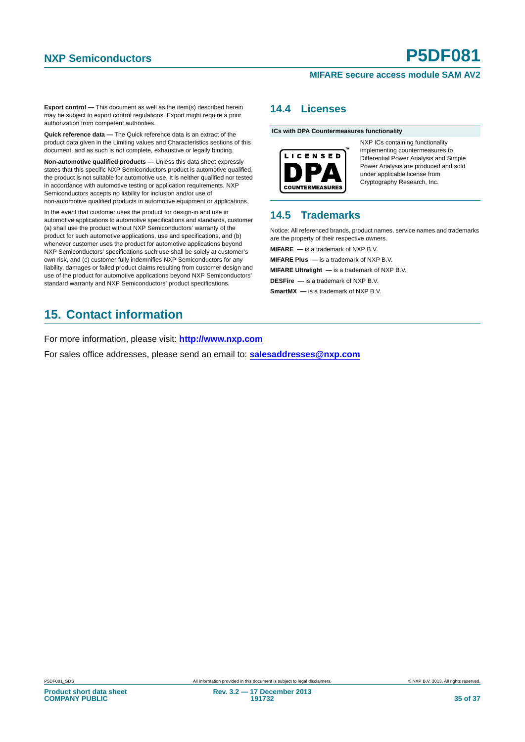**Export control —** This document as well as the item(s) described herein may be subject to export control regulations. Export might require a prior authorization from competent authorities.

**Quick reference data —** The Quick reference data is an extract of the product data given in the Limiting values and Characteristics sections of this document, and as such is not complete, exhaustive or legally binding.

**Non-automotive qualified products —** Unless this data sheet expressly states that this specific NXP Semiconductors product is automotive qualified, the product is not suitable for automotive use. It is neither qualified nor tested in accordance with automotive testing or application requirements. NXP Semiconductors accepts no liability for inclusion and/or use of non-automotive qualified products in automotive equipment or applications.

In the event that customer uses the product for design-in and use in automotive applications to automotive specifications and standards, customer (a) shall use the product without NXP Semiconductors' warranty of the product for such automotive applications, use and specifications, and (b) whenever customer uses the product for automotive applications beyond NXP Semiconductors' specifications such use shall be solely at customer's own risk, and (c) customer fully indemnifies NXP Semiconductors for any liability, damages or failed product claims resulting from customer design and use of the product for automotive applications beyond NXP Semiconductors' standard warranty and NXP Semiconductors' product specifications.

## <span id="page-34-2"></span>**15. Contact information**

For more information, please visit: **http://www.nxp.com**

For sales office addresses, please send an email to: **salesaddresses@nxp.com**

#### <span id="page-34-0"></span>**14.4 Licenses**

**ICs with DPA Countermeasures functionality**



NXP ICs containing functionality implementing countermeasures to Differential Power Analysis and Simple Power Analysis are produced and sold under applicable license from Cryptography Research, Inc.

## <span id="page-34-1"></span>**14.5 Trademarks**

Notice: All referenced brands, product names, service names and trademarks are the property of their respective owners.

**MIFARE —** is a trademark of NXP B.V.

**MIFARE Plus —** is a trademark of NXP B.V.

**MIFARE Ultralight —** is a trademark of NXP B.V.

**DESFire —** is a trademark of NXP B.V.

**SmartMX** — is a trademark of NXP B.V.

**Product short data sheet COMPANY PUBLIC**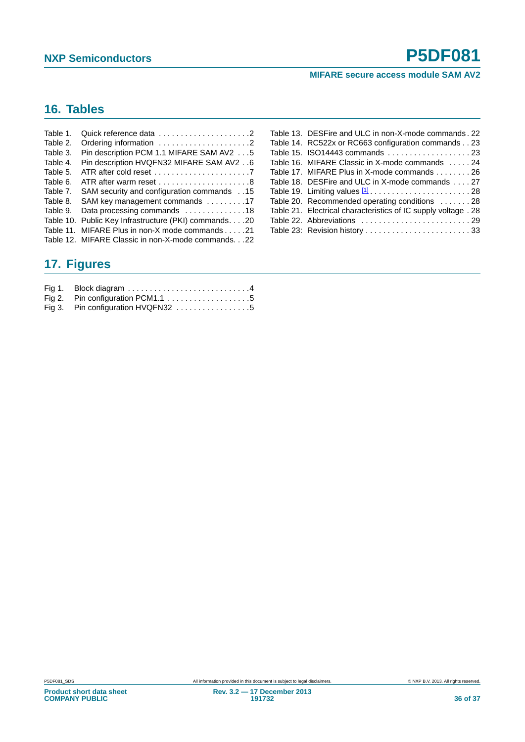## <span id="page-35-0"></span>**16. Tables**

| Table 1.  | Quick reference data 2                                                    |
|-----------|---------------------------------------------------------------------------|
| Table 2.  | Ordering information 2                                                    |
| Table 3.  | Pin description PCM 1.1 MIFARE SAM AV2 5                                  |
| Table 4.  | Pin description HVQFN32 MIFARE SAM AV2 6                                  |
| Table 5.  | ATR after cold reset $\ldots \ldots \ldots \ldots \ldots \ldots \ldots$ . |
| Table 6.  |                                                                           |
| Table 7.  | 15. . SAM security and configuration commands                             |
| Table 8.  | SAM key management commands 17                                            |
| Table 9.  | Data processing commands 18                                               |
| Table 10. | Public Key Infrastructure (PKI) commands20                                |
|           | Table 11. MIFARE Plus in non-X mode commands 21                           |
|           | Table 12. MIFARE Classic in non-X-mode commands22                         |

| Table 13. DESFire and ULC in non-X-mode commands, 22                      |
|---------------------------------------------------------------------------|
| Table 14. RC522x or RC663 configuration commands 23                       |
|                                                                           |
| Table 16. MIFARE Classic in X-mode commands 24                            |
| Table 17. MIFARE Plus in X-mode commands 26                               |
| Table 18. DESFire and ULC in X-mode commands 27                           |
| Table 19. Limiting values $1, \ldots, \ldots, \ldots, \ldots, \ldots, 28$ |
| Table 20. Recommended operating conditions 28                             |
| Table 21. Electrical characteristics of IC supply voltage . 28            |
|                                                                           |
| Table 23: Revision history 33                                             |

## <span id="page-35-1"></span>**17. Figures**

| Fig 2. Pin configuration PCM1.1 $\ldots$ 5 |  |
|--------------------------------------------|--|
| Fig 3. Pin configuration HVQFN32 5         |  |